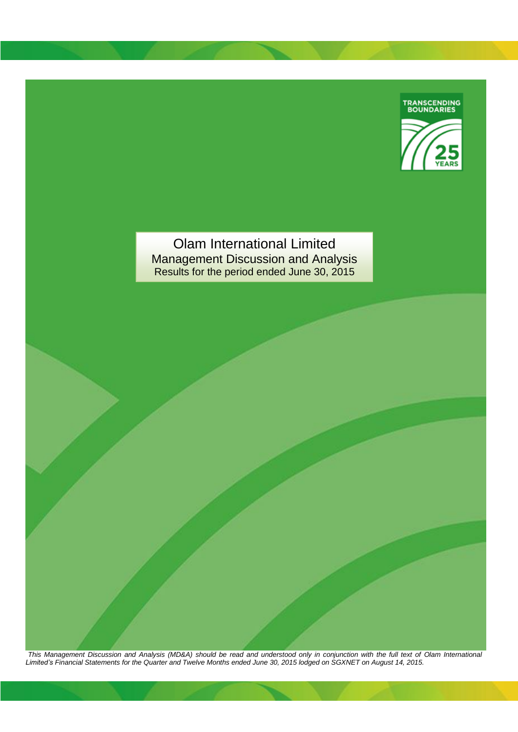

Olam International Limited Management Discussion and Analysis Results for the period ended June 30, 2015

*This Management Discussion and Analysis (MD&A) should be read and understood only in conjunction with the full text of Olam International Limited's Financial Statements for the Quarter and Twelve Months ended June 30, 2015 lodged on SGXNET on August 14, 2015.*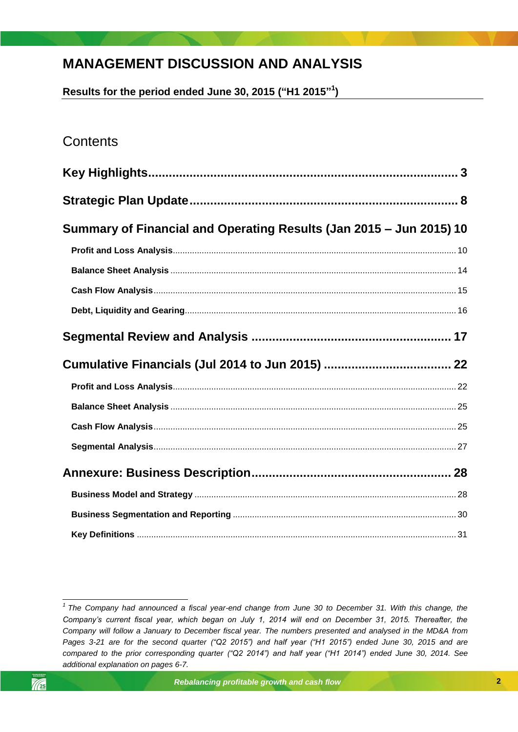# **MANAGEMENT DISCUSSION AND ANALYSIS**

**Results for the period ended June 30, 2015 ("H1 2015" 1 )**

# **Contents**

| Summary of Financial and Operating Results (Jan 2015 – Jun 2015) 10 |  |
|---------------------------------------------------------------------|--|
|                                                                     |  |
|                                                                     |  |
|                                                                     |  |
|                                                                     |  |
|                                                                     |  |
|                                                                     |  |
|                                                                     |  |
|                                                                     |  |
|                                                                     |  |
|                                                                     |  |
|                                                                     |  |
|                                                                     |  |
|                                                                     |  |
|                                                                     |  |

<span id="page-1-0"></span> *1 The Company had announced a fiscal year-end change from June 30 to December 31. With this change, the Company's current fiscal year, which began on July 1, 2014 will end on December 31, 2015. Thereafter, the Company will follow a January to December fiscal year. The numbers presented and analysed in the MD&A from Pages 3-21 are for the second quarter ("Q2 2015") and half year ("H1 2015") ended June 30, 2015 and are compared to the prior corresponding quarter ("Q2 2014") and half year ("H1 2014") ended June 30, 2014. See additional explanation on pages 6-7.*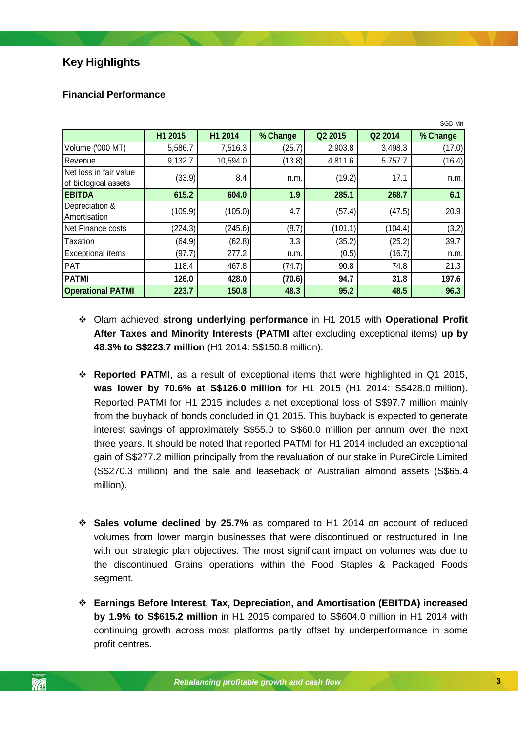## **Key Highlights**

|                                                |         |          |          |         |         | SGD Mn   |
|------------------------------------------------|---------|----------|----------|---------|---------|----------|
|                                                | H1 2015 | H1 2014  | % Change | Q2 2015 | Q2 2014 | % Change |
| Volume ('000 MT)                               | 5,586.7 | 7,516.3  | (25.7)   | 2,903.8 | 3,498.3 | (17.0)   |
| Revenue                                        | 9,132.7 | 10,594.0 | (13.8)   | 4,811.6 | 5,757.7 | (16.4)   |
| Net loss in fair value<br>of biological assets | (33.9)  | 8.4      | n.m.     | (19.2)  | 17.1    | n.m.     |
| <b>EBITDA</b>                                  | 615.2   | 604.0    | 1.9      | 285.1   | 268.7   | 6.1      |
| Depreciation &<br>Amortisation                 | (109.9) | (105.0)  | 4.7      | (57.4)  | (47.5)  | 20.9     |
| Net Finance costs                              | (224.3) | (245.6)  | (8.7)    | (101.1) | (104.4) | (3.2)    |
| <b>Taxation</b>                                | (64.9)  | (62.8)   | 3.3      | (35.2)  | (25.2)  | 39.7     |
| <b>Exceptional items</b>                       | (97.7)  | 277.2    | n.m.     | (0.5)   | (16.7)  | n.m.     |
| PAT                                            | 118.4   | 467.8    | (74.7)   | 90.8    | 74.8    | 21.3     |
| <b>PATMI</b>                                   | 126.0   | 428.0    | (70.6)   | 94.7    | 31.8    | 197.6    |
| <b>Operational PATMI</b>                       | 223.7   | 150.8    | 48.3     | 95.2    | 48.5    | 96.3     |

### **Financial Performance**

- Olam achieved **strong underlying performance** in H1 2015 with **Operational Profit After Taxes and Minority Interests (PATMI** after excluding exceptional items) **up by 48.3% to S\$223.7 million** (H1 2014: S\$150.8 million).
- *Rebalancing profitable growth and cash flow* Reported PATMI for H1 2015 includes a net exceptional loss of S\$97.7 million mainly **Reported PATMI**, as a result of exceptional items that were highlighted in Q1 2015, **was lower by 70.6% at S\$126.0 million** for H1 2015 (H1 2014: S\$428.0 million). from the buyback of bonds concluded in Q1 2015. This buyback is expected to generate interest savings of approximately S\$55.0 to S\$60.0 million per annum over the next three years. It should be noted that reported PATMI for H1 2014 included an exceptional gain of S\$277.2 million principally from the revaluation of our stake in PureCircle Limited (S\$270.3 million) and the sale and leaseback of Australian almond assets (S\$65.4 million).
- **Sales volume declined by 25.7%** as compared to H1 2014 on account of reduced volumes from lower margin businesses that were discontinued or restructured in line with our strategic plan objectives. The most significant impact on volumes was due to the discontinued Grains operations within the Food Staples & Packaged Foods segment.
- **Earnings Before Interest, Tax, Depreciation, and Amortisation (EBITDA) increased by 1.9% to S\$615.2 million** in H1 2015 compared to S\$604.0 million in H1 2014 with continuing growth across most platforms partly offset by underperformance in some profit centres.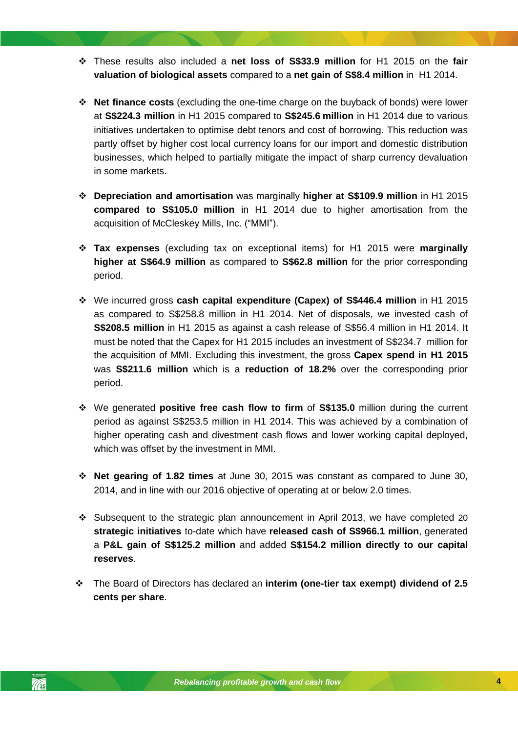- These results also included a **net loss of S\$33.9 million** for H1 2015 on the **fair valuation of biological assets** compared to a **net gain of S\$8.4 million** in H1 2014.
- **Net finance costs** (excluding the one-time charge on the buyback of bonds) were lower at **S\$224.3 million** in H1 2015 compared to **S\$245.6 million** in H1 2014 due to various initiatives undertaken to optimise debt tenors and cost of borrowing. This reduction was partly offset by higher cost local currency loans for our import and domestic distribution businesses, which helped to partially mitigate the impact of sharp currency devaluation in some markets.
- **Depreciation and amortisation** was marginally **higher at S\$109.9 million** in H1 2015 **compared to S\$105.0 million** in H1 2014 due to higher amortisation from the acquisition of McCleskey Mills, Inc. ("MMI").
- **Tax expenses** (excluding tax on exceptional items) for H1 2015 were **marginally higher at S\$64.9 million** as compared to **S\$62.8 million** for the prior corresponding period.
- We incurred gross **cash capital expenditure (Capex) of S\$446.4 million** in H1 2015 as compared to S\$258.8 million in H1 2014. Net of disposals, we invested cash of **S\$208.5 million** in H1 2015 as against a cash release of S\$56.4 million in H1 2014. It must be noted that the Capex for H1 2015 includes an investment of S\$234.7 million for the acquisition of MMI. Excluding this investment, the gross **Capex spend in H1 2015** was **S\$211.6 million** which is a **reduction of 18.2%** over the corresponding prior period.
- \* We generated **positive free cash flow to firm** of **S\$135.0** million during the current period as against S\$253.5 million in H1 2014. This was achieved by a combination of higher operating cash and divestment cash flows and lower working capital deployed, which was offset by the investment in MMI.
- **Net gearing of 1.82 times** at June 30, 2015 was constant as compared to June 30, 2014, and in line with our 2016 objective of operating at or below 2.0 times.
- \* Subsequent to the strategic plan announcement in April 2013, we have completed 20 **strategic initiatives** to-date which have **released cash of S\$966.1 million**, generated a **P&L gain of S\$125.2 million** and added **S\$154.2 million directly to our capital reserves**.
- The Board of Directors has declared an **interim (one-tier tax exempt) dividend of 2.5 cents per share**.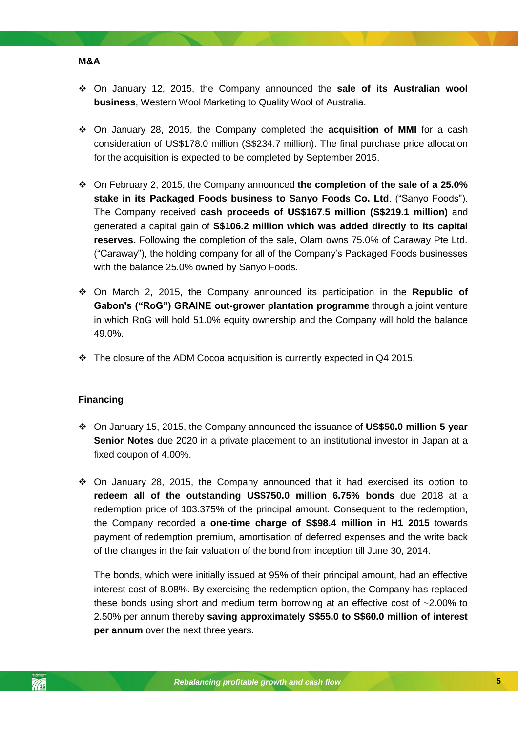- On January 12, 2015, the Company announced the **sale of its Australian wool business**, Western Wool Marketing to Quality Wool of Australia.
- On January 28, 2015, the Company completed the **acquisition of MMI** for a cash consideration of US\$178.0 million (S\$234.7 million). The final purchase price allocation for the acquisition is expected to be completed by September 2015.
- On February 2, 2015, the Company announced **the completion of the sale of a 25.0% stake in its Packaged Foods business to Sanyo Foods Co. Ltd**. ("Sanyo Foods"). The Company received **cash proceeds of US\$167.5 million (S\$219.1 million)** and generated a capital gain of **S\$106.2 million which was added directly to its capital reserves.** Following the completion of the sale, Olam owns 75.0% of Caraway Pte Ltd. ("Caraway"), the holding company for all of the Company's Packaged Foods businesses with the balance 25.0% owned by Sanyo Foods.
- On March 2, 2015, the Company announced its participation in the **Republic of Gabon's ("RoG") GRAINE out-grower plantation programme** through a joint venture in which RoG will hold 51.0% equity ownership and the Company will hold the balance 49.0%.
- $\div$  The closure of the ADM Cocoa acquisition is currently expected in Q4 2015.

#### *Rebalancing profitable growth and cash flow* **Financing**

**M&A**

- On January 15, 2015, the Company announced the issuance of **US\$50.0 million 5 year Senior Notes** due 2020 in a private placement to an institutional investor in Japan at a fixed coupon of 4.00%.
- $\div$  On January 28, 2015, the Company announced that it had exercised its option to **redeem all of the outstanding US\$750.0 million 6.75% bonds** due 2018 at a redemption price of 103.375% of the principal amount. Consequent to the redemption, the Company recorded a **one-time charge of S\$98.4 million in H1 2015** towards payment of redemption premium, amortisation of deferred expenses and the write back of the changes in the fair valuation of the bond from inception till June 30, 2014.

The bonds, which were initially issued at 95% of their principal amount, had an effective interest cost of 8.08%. By exercising the redemption option, the Company has replaced these bonds using short and medium term borrowing at an effective cost of ~2.00% to 2.50% per annum thereby **saving approximately S\$55.0 to S\$60.0 million of interest per annum** over the next three years.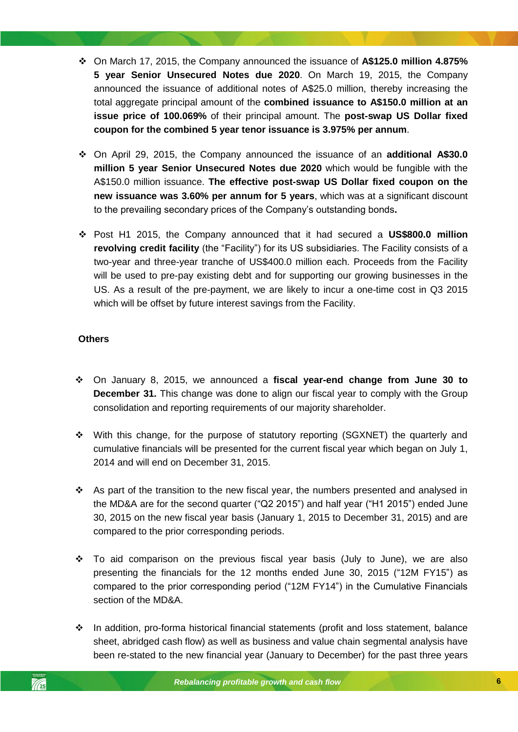- On March 17, 2015, the Company announced the issuance of **A\$125.0 million 4.875% 5 year Senior Unsecured Notes due 2020**. On March 19, 2015, the Company announced the issuance of additional notes of A\$25.0 million, thereby increasing the total aggregate principal amount of the **combined issuance to A\$150.0 million at an issue price of 100.069%** of their principal amount. The **post-swap US Dollar fixed coupon for the combined 5 year tenor issuance is 3.975% per annum**.
- On April 29, 2015, the Company announced the issuance of an **additional A\$30.0 million 5 year Senior Unsecured Notes due 2020** which would be fungible with the A\$150.0 million issuance. **The effective post-swap US Dollar fixed coupon on the new issuance was 3.60% per annum for 5 years**, which was at a significant discount to the prevailing secondary prices of the Company's outstanding bonds**.**
- Post H1 2015, the Company announced that it had secured a **US\$800.0 million revolving credit facility** (the "Facility") for its US subsidiaries. The Facility consists of a two-year and three-year tranche of US\$400.0 million each. Proceeds from the Facility will be used to pre-pay existing debt and for supporting our growing businesses in the US. As a result of the pre-payment, we are likely to incur a one-time cost in Q3 2015 which will be offset by future interest savings from the Facility.

### **Others**

- consolidation and reporting requirements of our majority shareholder. On January 8, 2015, we announced a **fiscal year-end change from June 30 to December 31.** This change was done to align our fiscal year to comply with the Group
- With this change, for the purpose of statutory reporting (SGXNET) the quarterly and cumulative financials will be presented for the current fiscal year which began on July 1, 2014 and will end on December 31, 2015.
- As part of the transition to the new fiscal year, the numbers presented and analysed in the MD&A are for the second quarter ("Q2 2015") and half year ("H1 2015") ended June 30, 2015 on the new fiscal year basis (January 1, 2015 to December 31, 2015) and are compared to the prior corresponding periods.
- $\div$  To aid comparison on the previous fiscal year basis (July to June), we are also presenting the financials for the 12 months ended June 30, 2015 ("12M FY15") as compared to the prior corresponding period ("12M FY14") in the Cumulative Financials section of the MD&A.
- In addition, pro-forma historical financial statements (profit and loss statement, balance sheet, abridged cash flow) as well as business and value chain segmental analysis have been re-stated to the new financial year (January to December) for the past three years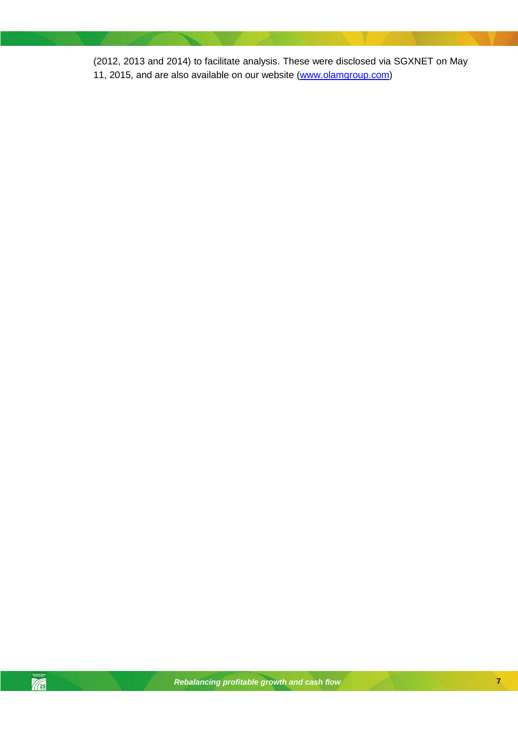(2012, 2013 and 2014) to facilitate analysis. These were disclosed via SGXNET on May 11, 2015, and are also available on our website [\(www.olamgroup.com\)](http://www.olamgroup.com/)

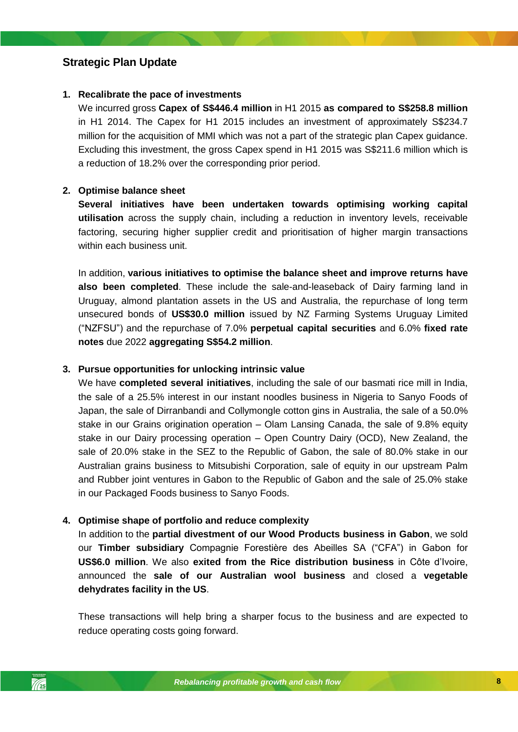### <span id="page-7-0"></span>**Strategic Plan Update**

### **1. Recalibrate the pace of investments**

We incurred gross **Capex of S\$446.4 million** in H1 2015 **as compared to S\$258.8 million**  in H1 2014. The Capex for H1 2015 includes an investment of approximately S\$234.7 million for the acquisition of MMI which was not a part of the strategic plan Capex guidance. Excluding this investment, the gross Capex spend in H1 2015 was S\$211.6 million which is a reduction of 18.2% over the corresponding prior period.

### **2. Optimise balance sheet**

**Several initiatives have been undertaken towards optimising working capital utilisation** across the supply chain, including a reduction in inventory levels, receivable factoring, securing higher supplier credit and prioritisation of higher margin transactions within each business unit.

In addition, **various initiatives to optimise the balance sheet and improve returns have also been completed**. These include the sale-and-leaseback of Dairy farming land in Uruguay, almond plantation assets in the US and Australia, the repurchase of long term unsecured bonds of **US\$30.0 million** issued by NZ Farming Systems Uruguay Limited ("NZFSU") and the repurchase of 7.0% **perpetual capital securities** and 6.0% **fixed rate notes** due 2022 **aggregating S\$54.2 million**.

### **3. Pursue opportunities for unlocking intrinsic value**

Japan, the sale of Dirranbandi and Collymongle cotton gins in Australia, the sale of a 50.0% We have **completed several initiatives**, including the sale of our basmati rice mill in India, the sale of a 25.5% interest in our instant noodles business in Nigeria to Sanyo Foods of stake in our Grains origination operation – Olam Lansing Canada, the sale of 9.8% equity stake in our Dairy processing operation – Open Country Dairy (OCD), New Zealand, the sale of 20.0% stake in the SEZ to the Republic of Gabon, the sale of 80.0% stake in our Australian grains business to Mitsubishi Corporation, sale of equity in our upstream Palm and Rubber joint ventures in Gabon to the Republic of Gabon and the sale of 25.0% stake in our Packaged Foods business to Sanyo Foods.

### **4. Optimise shape of portfolio and reduce complexity**

In addition to the **partial divestment of our Wood Products business in Gabon**, we sold our **Timber subsidiary** Compagnie Forestière des Abeilles SA ("CFA") in Gabon for **US\$6.0 million**. We also **exited from the Rice distribution business** in Côte d'Ivoire, announced the **sale of our Australian wool business** and closed a **vegetable dehydrates facility in the US**.

These transactions will help bring a sharper focus to the business and are expected to reduce operating costs going forward.

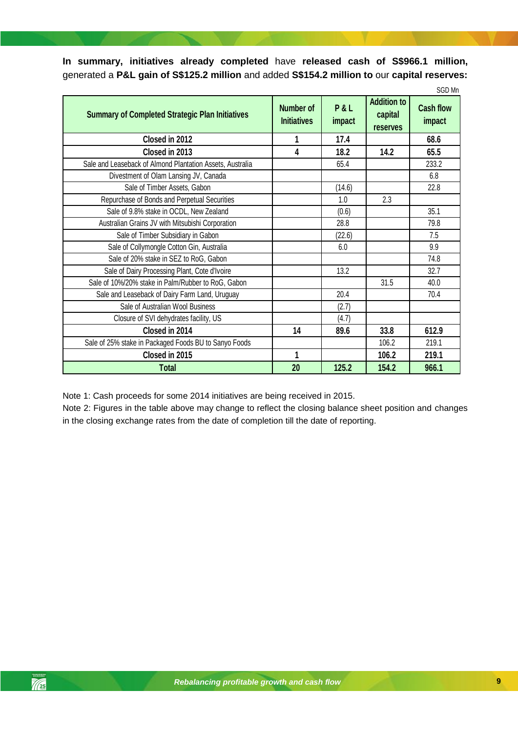**In summary, initiatives already completed** have **released cash of S\$966.1 million,**  generated a **P&L gain of S\$125.2 million** and added **S\$154.2 million to** our **capital reserves:**

|                                                           |                                 |               |                                                  | SGD Mn                     |
|-----------------------------------------------------------|---------------------------------|---------------|--------------------------------------------------|----------------------------|
| <b>Summary of Completed Strategic Plan Initiatives</b>    | Number of<br><b>Initiatives</b> | P&L<br>impact | <b>Addition to</b><br>capital<br><b>reserves</b> | <b>Cash flow</b><br>impact |
| Closed in 2012                                            | 1                               | 17.4          |                                                  | 68.6                       |
| Closed in 2013                                            | 4                               | 18.2          | 14.2                                             | 65.5                       |
| Sale and Leaseback of Almond Plantation Assets, Australia |                                 | 65.4          |                                                  | 233.2                      |
| Divestment of Olam Lansing JV, Canada                     |                                 |               |                                                  | 6.8                        |
| Sale of Timber Assets, Gabon                              |                                 | (14.6)        |                                                  | 22.8                       |
| Repurchase of Bonds and Perpetual Securities              |                                 | 1.0           | 2.3                                              |                            |
| Sale of 9.8% stake in OCDL, New Zealand                   |                                 | (0.6)         |                                                  | 35.1                       |
| Australian Grains JV with Mitsubishi Corporation          |                                 | 28.8          |                                                  | 79.8                       |
| Sale of Timber Subsidiary in Gabon                        |                                 | (22.6)        |                                                  | 7.5                        |
| Sale of Collymongle Cotton Gin, Australia                 |                                 | 6.0           |                                                  | 9.9                        |
| Sale of 20% stake in SEZ to RoG, Gabon                    |                                 |               |                                                  | 74.8                       |
| Sale of Dairy Processing Plant, Cote d'Ivoire             |                                 | 13.2          |                                                  | 32.7                       |
| Sale of 10%/20% stake in Palm/Rubber to RoG, Gabon        |                                 |               | 31.5                                             | 40.0                       |
| Sale and Leaseback of Dairy Farm Land, Uruguay            |                                 | 20.4          |                                                  | 70.4                       |
| Sale of Australian Wool Business                          |                                 | (2.7)         |                                                  |                            |
| Closure of SVI dehydrates facility, US                    |                                 | (4.7)         |                                                  |                            |
| Closed in 2014                                            | 14                              | 89.6          | 33.8                                             | 612.9                      |
| Sale of 25% stake in Packaged Foods BU to Sanyo Foods     |                                 |               | 106.2                                            | 219.1                      |
| Closed in 2015                                            | 1                               |               | 106.2                                            | 219.1                      |
| <b>Total</b>                                              | 20                              | 125.2         | 154.2                                            | 966.1                      |

Note 1: Cash proceeds for some 2014 initiatives are being received in 2015.

Note 2: Figures in the table above may change to reflect the closing balance sheet position and changes in the closing exchange rates from the date of completion till the date of reporting.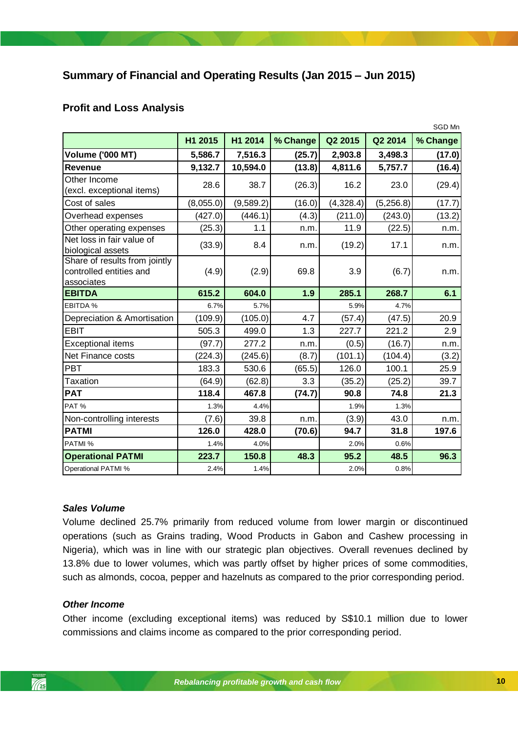## <span id="page-9-0"></span>**Summary of Financial and Operating Results (Jan 2015 – Jun 2015)**

### <span id="page-9-1"></span>**Profit and Loss Analysis**

|                                                                        |           |           |          |           |           | SGD Mn   |
|------------------------------------------------------------------------|-----------|-----------|----------|-----------|-----------|----------|
|                                                                        | H1 2015   | H1 2014   | % Change | Q2 2015   | Q2 2014   | % Change |
| <b>Volume ('000 MT)</b>                                                | 5,586.7   | 7,516.3   | (25.7)   | 2,903.8   | 3,498.3   | (17.0)   |
| Revenue                                                                | 9,132.7   | 10,594.0  | (13.8)   | 4,811.6   | 5,757.7   | (16.4)   |
| Other Income<br>(excl. exceptional items)                              | 28.6      | 38.7      | (26.3)   | 16.2      | 23.0      | (29.4)   |
| Cost of sales                                                          | (8,055.0) | (9,589.2) | (16.0)   | (4,328.4) | (5,256.8) | (17.7)   |
| Overhead expenses                                                      | (427.0)   | (446.1)   | (4.3)    | (211.0)   | (243.0)   | (13.2)   |
| Other operating expenses                                               | (25.3)    | 1.1       | n.m.     | 11.9      | (22.5)    | n.m.     |
| Net loss in fair value of<br>biological assets                         | (33.9)    | 8.4       | n.m.     | (19.2)    | 17.1      | n.m.     |
| Share of results from jointly<br>controlled entities and<br>associates | (4.9)     | (2.9)     | 69.8     | 3.9       | (6.7)     | n.m.     |
| <b>EBITDA</b>                                                          | 615.2     | 604.0     | 1.9      | 285.1     | 268.7     | 6.1      |
| EBITDA %                                                               | 6.7%      | 5.7%      |          | 5.9%      | 4.7%      |          |
| Depreciation & Amortisation                                            | (109.9)   | (105.0)   | 4.7      | (57.4)    | (47.5)    | 20.9     |
| <b>EBIT</b>                                                            | 505.3     | 499.0     | 1.3      | 227.7     | 221.2     | 2.9      |
| <b>Exceptional items</b>                                               | (97.7)    | 277.2     | n.m.     | (0.5)     | (16.7)    | n.m.     |
| <b>Net Finance costs</b>                                               | (224.3)   | (245.6)   | (8.7)    | (101.1)   | (104.4)   | (3.2)    |
| PBT                                                                    | 183.3     | 530.6     | (65.5)   | 126.0     | 100.1     | 25.9     |
| Taxation                                                               | (64.9)    | (62.8)    | 3.3      | (35.2)    | (25.2)    | 39.7     |
| <b>PAT</b>                                                             | 118.4     | 467.8     | (74.7)   | 90.8      | 74.8      | 21.3     |
| PAT%                                                                   | 1.3%      | 4.4%      |          | 1.9%      | 1.3%      |          |
| Non-controlling interests                                              | (7.6)     | 39.8      | n.m.     | (3.9)     | 43.0      | n.m.     |
| <b>PATMI</b>                                                           | 126.0     | 428.0     | (70.6)   | 94.7      | 31.8      | 197.6    |
| PATMI %                                                                | 1.4%      | 4.0%      |          | 2.0%      | 0.6%      |          |
| <b>Operational PATMI</b>                                               | 223.7     | 150.8     | 48.3     | 95.2      | 48.5      | 96.3     |
| <b>Operational PATMI %</b>                                             | 2.4%      | 1.4%      |          | 2.0%      | 0.8%      |          |

### *Sales Volume*

Volume declined 25.7% primarily from reduced volume from lower margin or discontinued operations (such as Grains trading, Wood Products in Gabon and Cashew processing in Nigeria), which was in line with our strategic plan objectives. Overall revenues declined by 13.8% due to lower volumes, which was partly offset by higher prices of some commodities, such as almonds, cocoa, pepper and hazelnuts as compared to the prior corresponding period.

### *Other Income*

Other income (excluding exceptional items) was reduced by S\$10.1 million due to lower commissions and claims income as compared to the prior corresponding period.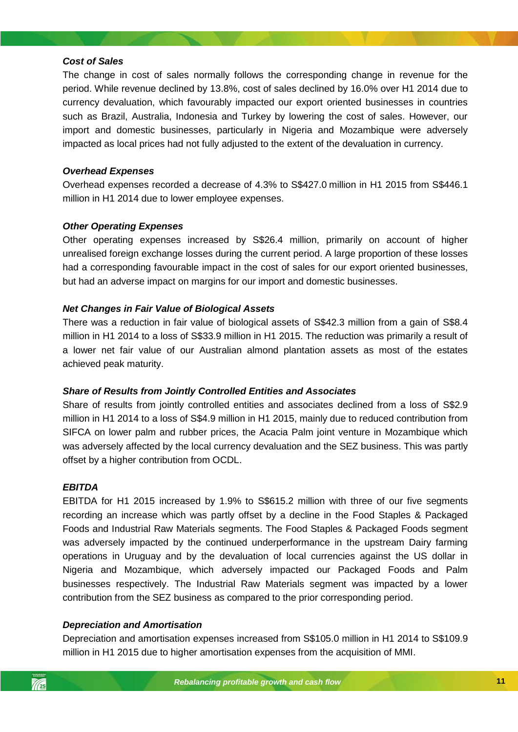### *Cost of Sales*

The change in cost of sales normally follows the corresponding change in revenue for the period. While revenue declined by 13.8%, cost of sales declined by 16.0% over H1 2014 due to currency devaluation, which favourably impacted our export oriented businesses in countries such as Brazil, Australia, Indonesia and Turkey by lowering the cost of sales. However, our import and domestic businesses, particularly in Nigeria and Mozambique were adversely impacted as local prices had not fully adjusted to the extent of the devaluation in currency.

### *Overhead Expenses*

Overhead expenses recorded a decrease of 4.3% to S\$427.0 million in H1 2015 from S\$446.1 million in H1 2014 due to lower employee expenses.

### *Other Operating Expenses*

Other operating expenses increased by S\$26.4 million, primarily on account of higher unrealised foreign exchange losses during the current period. A large proportion of these losses had a corresponding favourable impact in the cost of sales for our export oriented businesses, but had an adverse impact on margins for our import and domestic businesses.

### *Net Changes in Fair Value of Biological Assets*

There was a reduction in fair value of biological assets of S\$42.3 million from a gain of S\$8.4 million in H1 2014 to a loss of S\$33.9 million in H1 2015. The reduction was primarily a result of a lower net fair value of our Australian almond plantation assets as most of the estates achieved peak maturity.

### *Share of Results from Jointly Controlled Entities and Associates*

Share of results from jointly controlled entities and associates declined from a loss of S\$2.9 million in H1 2014 to a loss of S\$4.9 million in H1 2015, mainly due to reduced contribution from SIFCA on lower palm and rubber prices, the Acacia Palm joint venture in Mozambique which was adversely affected by the local currency devaluation and the SEZ business. This was partly offset by a higher contribution from OCDL.

#### *EBITDA*

EBITDA for H1 2015 increased by 1.9% to S\$615.2 million with three of our five segments recording an increase which was partly offset by a decline in the Food Staples & Packaged Foods and Industrial Raw Materials segments. The Food Staples & Packaged Foods segment was adversely impacted by the continued underperformance in the upstream Dairy farming operations in Uruguay and by the devaluation of local currencies against the US dollar in Nigeria and Mozambique, which adversely impacted our Packaged Foods and Palm businesses respectively. The Industrial Raw Materials segment was impacted by a lower contribution from the SEZ business as compared to the prior corresponding period.

### *Depreciation and Amortisation*

Depreciation and amortisation expenses increased from S\$105.0 million in H1 2014 to S\$109.9 million in H1 2015 due to higher amortisation expenses from the acquisition of MMI.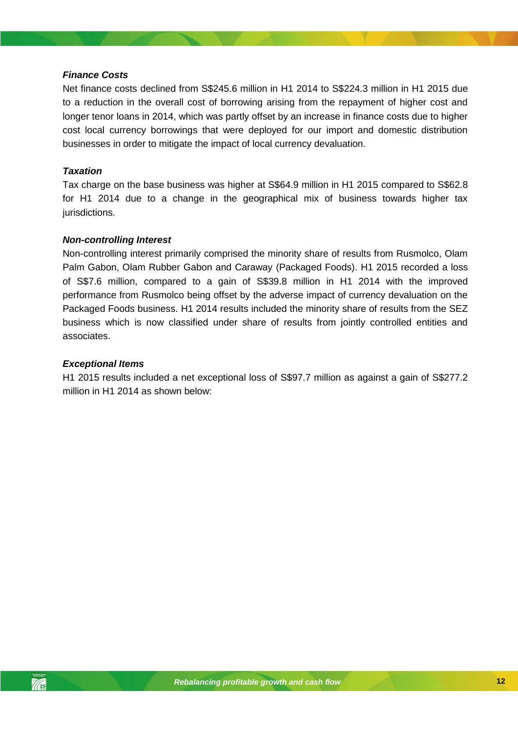### *Finance Costs*

Net finance costs declined from S\$245.6 million in H1 2014 to S\$224.3 million in H1 2015 due to a reduction in the overall cost of borrowing arising from the repayment of higher cost and longer tenor loans in 2014, which was partly offset by an increase in finance costs due to higher cost local currency borrowings that were deployed for our import and domestic distribution businesses in order to mitigate the impact of local currency devaluation.

### *Taxation*

Tax charge on the base business was higher at S\$64.9 million in H1 2015 compared to S\$62.8 for H1 2014 due to a change in the geographical mix of business towards higher tax jurisdictions.

### *Non-controlling Interest*

Non-controlling interest primarily comprised the minority share of results from Rusmolco, Olam Palm Gabon, Olam Rubber Gabon and Caraway (Packaged Foods). H1 2015 recorded a loss of S\$7.6 million, compared to a gain of S\$39.8 million in H1 2014 with the improved performance from Rusmolco being offset by the adverse impact of currency devaluation on the Packaged Foods business. H1 2014 results included the minority share of results from the SEZ business which is now classified under share of results from jointly controlled entities and associates.

### *Exceptional Items*

H1 2015 results included a net exceptional loss of S\$97.7 million as against a gain of S\$277.2 million in H1 2014 as shown below: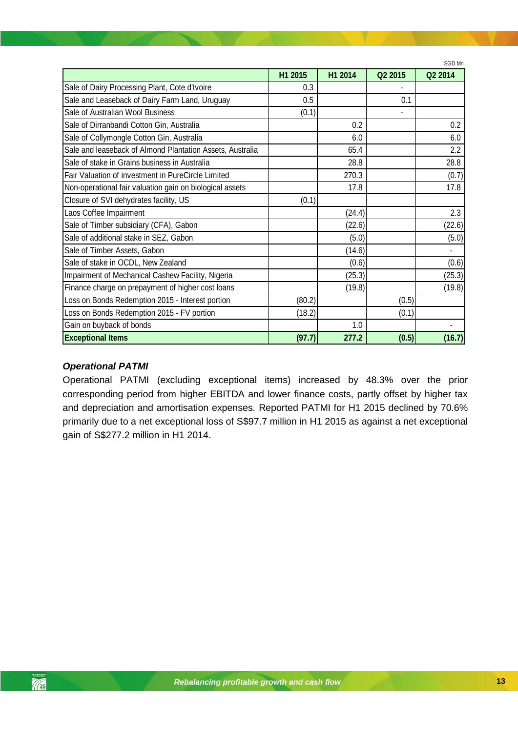|                                                           |         |         |         | SGD Mn  |
|-----------------------------------------------------------|---------|---------|---------|---------|
|                                                           | H1 2015 | H1 2014 | Q2 2015 | Q2 2014 |
| Sale of Dairy Processing Plant, Cote d'Ivoire             | 0.3     |         |         |         |
| Sale and Leaseback of Dairy Farm Land, Uruguay            | 0.5     |         | 0.1     |         |
| Sale of Australian Wool Business                          | (0.1)   |         |         |         |
| Sale of Dirranbandi Cotton Gin, Australia                 |         | 0.2     |         | 0.2     |
| Sale of Collymongle Cotton Gin, Australia                 |         | 6.0     |         | 6.0     |
| Sale and leaseback of Almond Plantation Assets, Australia |         | 65.4    |         | 2.2     |
| Sale of stake in Grains business in Australia             |         | 28.8    |         | 28.8    |
| Fair Valuation of investment in PureCircle Limited        |         | 270.3   |         | (0.7)   |
| Non-operational fair valuation gain on biological assets  |         | 17.8    |         | 17.8    |
| Closure of SVI dehydrates facility, US                    | (0.1)   |         |         |         |
| Laos Coffee Impairment                                    |         | (24.4)  |         | 2.3     |
| Sale of Timber subsidiary (CFA), Gabon                    |         | (22.6)  |         | (22.6)  |
| Sale of additional stake in SEZ, Gabon                    |         | (5.0)   |         | (5.0)   |
| Sale of Timber Assets, Gabon                              |         | (14.6)  |         |         |
| Sale of stake in OCDL, New Zealand                        |         | (0.6)   |         | (0.6)   |
| Impairment of Mechanical Cashew Facility, Nigeria         |         | (25.3)  |         | (25.3)  |
| Finance charge on prepayment of higher cost loans         |         | (19.8)  |         | (19.8)  |
| Loss on Bonds Redemption 2015 - Interest portion          | (80.2)  |         | (0.5)   |         |
| Loss on Bonds Redemption 2015 - FV portion                | (18.2)  |         | (0.1)   |         |
| Gain on buyback of bonds                                  |         | 1.0     |         |         |
| <b>Exceptional Items</b>                                  | (97.7)  | 277.2   | (0.5)   | (16.7)  |

### *Operational PATMI*

 $\frac{1}{\sqrt{25}}$ 

*Rebalancing profitable growth and cash flow* and depreciation and amortisation expenses. Reported PATMI for H1 2015 declined by 70.6% Operational PATMI (excluding exceptional items) increased by 48.3% over the prior corresponding period from higher EBITDA and lower finance costs, partly offset by higher tax primarily due to a net exceptional loss of S\$97.7 million in H1 2015 as against a net exceptional gain of S\$277.2 million in H1 2014.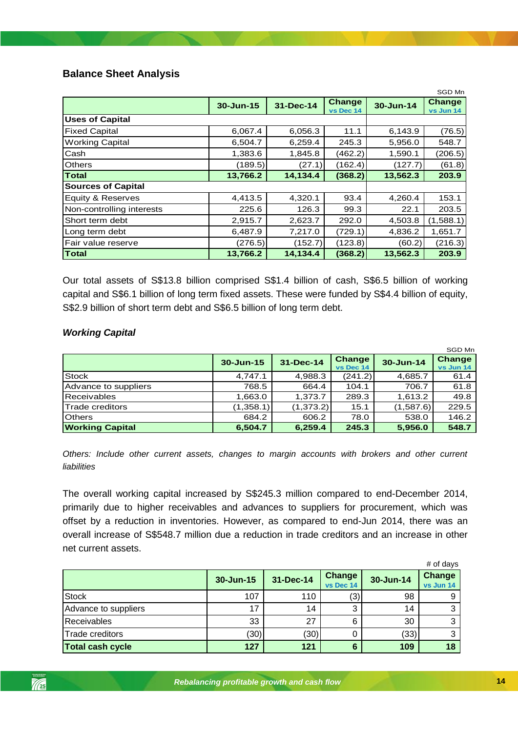### <span id="page-13-0"></span>**Balance Sheet Analysis**

|                           | SGD Mn    |                                  |         |           |                            |  |
|---------------------------|-----------|----------------------------------|---------|-----------|----------------------------|--|
|                           | 30-Jun-15 | Change<br>31-Dec-14<br>vs Dec 14 |         | 30-Jun-14 | <b>Change</b><br>vs Jun 14 |  |
| <b>Uses of Capital</b>    |           |                                  |         |           |                            |  |
| <b>Fixed Capital</b>      | 6,067.4   | 6,056.3                          | 11.1    | 6,143.9   | (76.5)                     |  |
| <b>Working Capital</b>    | 6,504.7   | 6,259.4                          | 245.3   | 5,956.0   | 548.7                      |  |
| Cash                      | 1,383.6   | 1,845.8                          | (462.2) | 1,590.1   | (206.5)                    |  |
| <b>Others</b>             | (189.5)   | (27.1)                           | (162.4) | (127.7)   | (61.8)                     |  |
| <b>Total</b>              | 13,766.2  | 14,134.4                         | (368.2) | 13,562.3  | 203.9                      |  |
| <b>Sources of Capital</b> |           |                                  |         |           |                            |  |
| Equity & Reserves         | 4,413.5   | 4,320.1                          | 93.4    | 4,260.4   | 153.1                      |  |
| Non-controlling interests | 225.6     | 126.3                            | 99.3    | 22.1      | 203.5                      |  |
| Short term debt           | 2,915.7   | 2,623.7                          | 292.0   | 4,503.8   | (1,588.1)                  |  |
| Long term debt            | 6,487.9   | 7,217.0                          | (729.1) | 4,836.2   | 1,651.7                    |  |
| Fair value reserve        | (276.5)   | (152.7)                          | (123.8) | (60.2)    | (216.3)                    |  |
| Total                     | 13,766.2  | 14,134.4                         | (368.2) | 13,562.3  | 203.9                      |  |

Our total assets of S\$13.8 billion comprised S\$1.4 billion of cash, S\$6.5 billion of working capital and S\$6.1 billion of long term fixed assets. These were funded by S\$4.4 billion of equity, S\$2.9 billion of short term debt and S\$6.5 billion of long term debt.

### *Working Capital*

|                        |               |            |                            |           | SGD Mn              |
|------------------------|---------------|------------|----------------------------|-----------|---------------------|
|                        | $30 - Jun-15$ | 31-Dec-14  | <b>Change</b><br>vs Dec 14 | 30-Jun-14 | Change<br>vs Jun 14 |
| <b>Stock</b>           | 4,747.1       | 4,988.3    | (241.2)                    | 4,685.7   | 61.4                |
| Advance to suppliers   | 768.5         | 664.4      | 104.1                      | 706.7     | 61.8                |
| <b>Receivables</b>     | 1,663.0       | 1.373.7    | 289.3                      | 1.613.2   | 49.8                |
| Trade creditors        | (1,358.1)     | (1, 373.2) | 15.1                       | (1,587.6) | 229.5               |
| <b>Others</b>          | 684.2         | 606.2      | 78.0                       | 538.0     | 146.2               |
| <b>Working Capital</b> | 6,504.7       | 6,259.4    | 245.3                      | 5,956.0   | 548.7               |

*Others: Include other current assets, changes to margin accounts with brokers and other current liabilities*

The overall working capital increased by S\$245.3 million compared to end-December 2014, primarily due to higher receivables and advances to suppliers for procurement, which was offset by a reduction in inventories. However, as compared to end-Jun 2014, there was an overall increase of S\$548.7 million due a reduction in trade creditors and an increase in other net current assets.

|                         |           |           |                            |           | # of days                  |
|-------------------------|-----------|-----------|----------------------------|-----------|----------------------------|
|                         | 30-Jun-15 | 31-Dec-14 | <b>Change</b><br>vs Dec 14 | 30-Jun-14 | <b>Change</b><br>vs Jun 14 |
| <b>Stock</b>            | 107       | 110       | (3,                        | 98        |                            |
| Advance to suppliers    | 17        | 14        |                            | 14        |                            |
| <b>Receivables</b>      | 33        | 27        | 6                          | 30        |                            |
| Trade creditors         | (30)      | (30)      |                            | (33)      |                            |
| <b>Total cash cycle</b> | 127       | 121       | 6                          | 109       | 18                         |

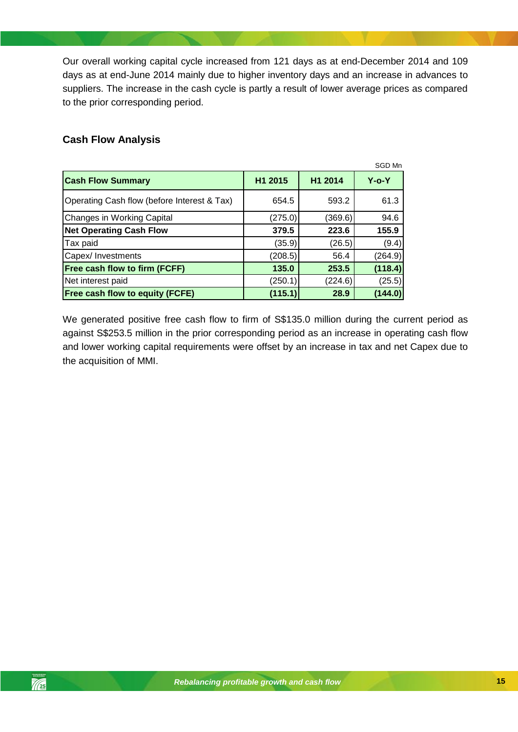Our overall working capital cycle increased from 121 days as at end-December 2014 and 109 days as at end-June 2014 mainly due to higher inventory days and an increase in advances to suppliers. The increase in the cash cycle is partly a result of lower average prices as compared to the prior corresponding period.

### <span id="page-14-0"></span>**Cash Flow Analysis**

 $\mathbb{Z}_2$ 

|                                             |         |         | SGD Mn      |
|---------------------------------------------|---------|---------|-------------|
| <b>Cash Flow Summary</b>                    | H1 2015 | H1 2014 | $Y$ -o- $Y$ |
| Operating Cash flow (before Interest & Tax) | 654.5   | 593.2   | 61.3        |
| <b>Changes in Working Capital</b>           | (275.0) | (369.6) | 94.6        |
| <b>Net Operating Cash Flow</b>              | 379.5   | 223.6   | 155.9       |
| Tax paid                                    | (35.9)  | (26.5)  | (9.4)       |
| Capex/ Investments                          | (208.5) | 56.4    | (264.9)     |
| Free cash flow to firm (FCFF)               | 135.0   | 253.5   | (118.4)     |
| Net interest paid                           | (250.1) | (224.6) | (25.5)      |
| <b>Free cash flow to equity (FCFE)</b>      | (115.1) | 28.9    | (144.0)     |

We generated positive free cash flow to firm of S\$135.0 million during the current period as against S\$253.5 million in the prior corresponding period as an increase in operating cash flow and lower working capital requirements were offset by an increase in tax and net Capex due to the acquisition of MMI.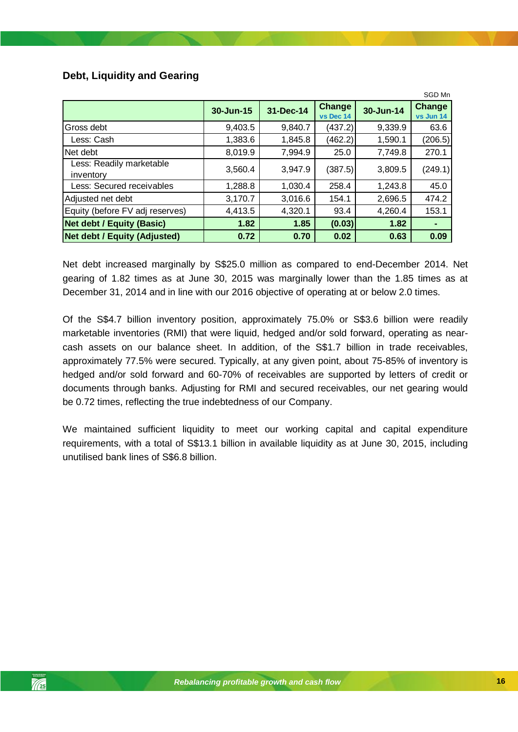### <span id="page-15-0"></span>**Debt, Liquidity and Gearing**

|                                       | SGD Mn    |           |                     |           |                            |  |  |
|---------------------------------------|-----------|-----------|---------------------|-----------|----------------------------|--|--|
|                                       | 30-Jun-15 | 31-Dec-14 | Change<br>vs Dec 14 | 30-Jun-14 | <b>Change</b><br>vs Jun 14 |  |  |
| Gross debt                            | 9,403.5   | 9,840.7   | (437.2)             | 9,339.9   | 63.6                       |  |  |
| Less: Cash                            | 1,383.6   | 1,845.8   | (462.2)             | 1,590.1   | (206.5)                    |  |  |
| Net debt                              | 8,019.9   | 7,994.9   | 25.0                | 7,749.8   | 270.1                      |  |  |
| Less: Readily marketable<br>inventory | 3,560.4   | 3,947.9   | (387.5)             | 3,809.5   | (249.1)                    |  |  |
| Less: Secured receivables             | 1,288.8   | 1,030.4   | 258.4               | 1,243.8   | 45.0                       |  |  |
| Adjusted net debt                     | 3,170.7   | 3,016.6   | 154.1               | 2,696.5   | 474.2                      |  |  |
| Equity (before FV adj reserves)       | 4,413.5   | 4,320.1   | 93.4                | 4,260.4   | 153.1                      |  |  |
| <b>Net debt / Equity (Basic)</b>      | 1.82      | 1.85      | (0.03)              | 1.82      |                            |  |  |
| <b>Net debt / Equity (Adjusted)</b>   | 0.72      | 0.70      | 0.02                | 0.63      | 0.09                       |  |  |

Net debt increased marginally by S\$25.0 million as compared to end-December 2014. Net gearing of 1.82 times as at June 30, 2015 was marginally lower than the 1.85 times as at December 31, 2014 and in line with our 2016 objective of operating at or below 2.0 times.

be 0.72 times, reflecting the true indebtedness of our Company. Of the S\$4.7 billion inventory position, approximately 75.0% or S\$3.6 billion were readily marketable inventories (RMI) that were liquid, hedged and/or sold forward, operating as nearcash assets on our balance sheet. In addition, of the S\$1.7 billion in trade receivables, approximately 77.5% were secured. Typically, at any given point, about 75-85% of inventory is hedged and/or sold forward and 60-70% of receivables are supported by letters of credit or documents through banks. Adjusting for RMI and secured receivables, our net gearing would

We maintained sufficient liquidity to meet our working capital and capital expenditure requirements, with a total of S\$13.1 billion in available liquidity as at June 30, 2015, including unutilised bank lines of S\$6.8 billion.

 $\sim$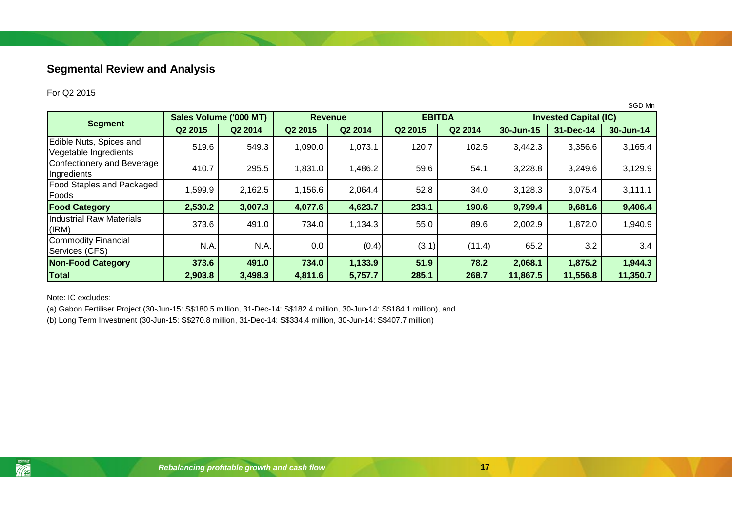## **Segmental Review and Analysis**

### For Q2 2015

|                                                  |                        |         |         |                |         |               |                              |           | SGD Mn    |
|--------------------------------------------------|------------------------|---------|---------|----------------|---------|---------------|------------------------------|-----------|-----------|
|                                                  | Sales Volume ('000 MT) |         |         | <b>Revenue</b> |         | <b>EBITDA</b> | <b>Invested Capital (IC)</b> |           |           |
| <b>Segment</b>                                   | Q2 2015                | Q2 2014 | Q2 2015 | Q2 2014        | Q2 2015 | Q2 2014       | 30-Jun-15                    | 31-Dec-14 | 30-Jun-14 |
| Edible Nuts, Spices and<br>Vegetable Ingredients | 519.6                  | 549.3   | 1,090.0 | 1,073.1        | 120.7   | 102.5         | 3,442.3                      | 3,356.6   | 3,165.4   |
| Confectionery and Beverage<br>Ingredients        | 410.7                  | 295.5   | 1,831.0 | 1,486.2        | 59.6    | 54.1          | 3,228.8                      | 3,249.6   | 3,129.9   |
| <b>Food Staples and Packaged</b><br>Foods        | 1,599.9                | 2,162.5 | 1,156.6 | 2,064.4        | 52.8    | 34.0          | 3,128.3                      | 3,075.4   | 3,111.1   |
| <b>Food Category</b>                             | 2,530.2                | 3,007.3 | 4,077.6 | 4,623.7        | 233.1   | 190.6         | 9,799.4                      | 9,681.6   | 9,406.4   |
| <b>Industrial Raw Materials</b><br>(IRM)         | 373.6                  | 491.0   | 734.0   | 1,134.3        | 55.0    | 89.6          | 2,002.9                      | 1,872.0   | 1,940.9   |
| Commodity Financial<br>Services (CFS)            | N.A.                   | N.A.    | 0.0     | (0.4)          | (3.1)   | (11.4)        | 65.2                         | 3.2       | 3.4       |
| <b>Non-Food Category</b>                         | 373.6                  | 491.0   | 734.0   | 1,133.9        | 51.9    | 78.2          | 2,068.1                      | 1,875.2   | 1,944.3   |
| <b>Total</b>                                     | 2,903.8                | 3,498.3 | 4,811.6 | 5,757.7        | 285.1   | 268.7         | 11,867.5                     | 11,556.8  | 11,350.7  |

<span id="page-16-0"></span>Note: IC excludes:

(a) Gabon Fertiliser Project (30-Jun-15: S\$180.5 million, 31-Dec-14: S\$182.4 million, 30-Jun-14: S\$184.1 million), and

(b) Long Term Investment (30-Jun-15: S\$270.8 million, 31-Dec-14: S\$334.4 million, 30-Jun-14: S\$407.7 million)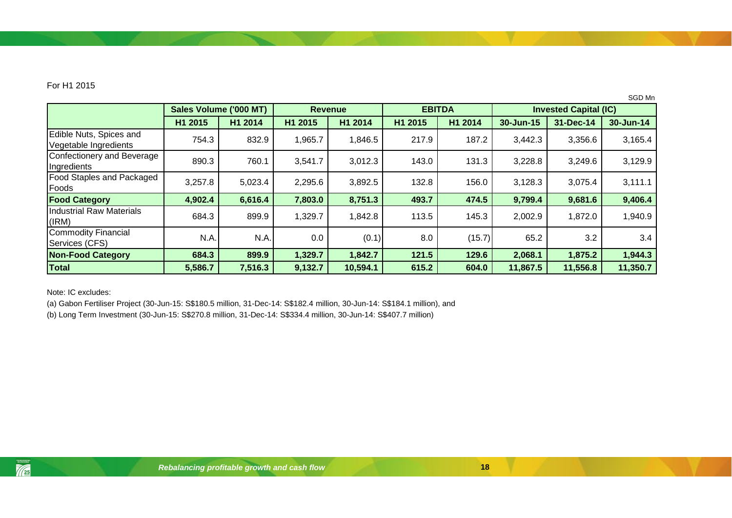### For H1 2015

|                                                  |                        |         |                |          |               |         |                              |           | SGD Mn    |
|--------------------------------------------------|------------------------|---------|----------------|----------|---------------|---------|------------------------------|-----------|-----------|
|                                                  | Sales Volume ('000 MT) |         | <b>Revenue</b> |          | <b>EBITDA</b> |         | <b>Invested Capital (IC)</b> |           |           |
|                                                  | H1 2015                | H1 2014 | H1 2015        | H1 2014  | H1 2015       | H1 2014 | 30-Jun-15                    | 31-Dec-14 | 30-Jun-14 |
| Edible Nuts, Spices and<br>Vegetable Ingredients | 754.3                  | 832.9   | 1,965.7        | 1,846.5  | 217.9         | 187.2   | 3,442.3                      | 3,356.6   | 3,165.4   |
| Confectionery and Beverage<br>Ingredients        | 890.3                  | 760.1   | 3,541.7        | 3,012.3  | 143.0         | 131.3   | 3,228.8                      | 3,249.6   | 3,129.9   |
| <b>Food Staples and Packaged</b><br>Foods        | 3,257.8                | 5,023.4 | 2,295.6        | 3,892.5  | 132.8         | 156.0   | 3,128.3                      | 3,075.4   | 3,111.1   |
| <b>Food Category</b>                             | 4,902.4                | 6,616.4 | 7,803.0        | 8,751.3  | 493.7         | 474.5   | 9,799.4                      | 9,681.6   | 9,406.4   |
| <b>Industrial Raw Materials</b><br>(IRM)         | 684.3                  | 899.9   | 1,329.7        | 1,842.8  | 113.5         | 145.3   | 2,002.9                      | 1,872.0   | 1,940.9   |
| <b>Commodity Financial</b><br>Services (CFS)     | N.A.                   | N.A.    | 0.0            | (0.1)    | 8.0           | (15.7)  | 65.2                         | 3.2       | 3.4       |
| <b>Non-Food Category</b>                         | 684.3                  | 899.9   | 1,329.7        | 1,842.7  | 121.5         | 129.6   | 2,068.1                      | 1,875.2   | 1,944.3   |
| Total                                            | 5,586.7                | 7,516.3 | 9,132.7        | 10,594.1 | 615.2         | 604.0   | 11,867.5                     | 11,556.8  | 11,350.7  |

Note: IC excludes:

(a) Gabon Fertiliser Project (30-Jun-15: S\$180.5 million, 31-Dec-14: S\$182.4 million, 30-Jun-14: S\$184.1 million), and

(b) Long Term Investment (30-Jun-15: S\$270.8 million, 31-Dec-14: S\$334.4 million, 30-Jun-14: S\$407.7 million)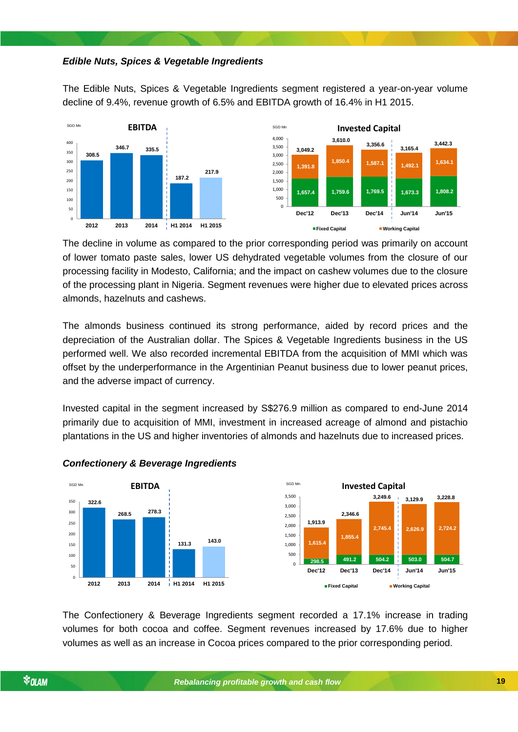#### *Edible Nuts, Spices & Vegetable Ingredients*

The Edible Nuts, Spices & Vegetable Ingredients segment registered a year-on-year volume decline of 9.4%, revenue growth of 6.5% and EBITDA growth of 16.4% in H1 2015.



The decline in volume as compared to the prior corresponding period was primarily on account of lower tomato paste sales, lower US dehydrated vegetable volumes from the closure of our processing facility in Modesto, California; and the impact on cashew volumes due to the closure of the processing plant in Nigeria. Segment revenues were higher due to elevated prices across almonds, hazelnuts and cashews.

The almonds business continued its strong performance, aided by record prices and the depreciation of the Australian dollar. The Spices & Vegetable Ingredients business in the US performed well. We also recorded incremental EBITDA from the acquisition of MMI which was offset by the underperformance in the Argentinian Peanut business due to lower peanut prices, and the adverse impact of currency.

Invested capital in the segment increased by S\$276.9 million as compared to end-June 2014 primarily due to acquisition of MMI, investment in increased acreage of almond and pistachio plantations in the US and higher inventories of almonds and hazelnuts due to increased prices.



### *Rebalancing profitable growth and cash flow Confectionery & Beverage Ingredients*

The Confectionery & Beverage Ingredients segment recorded a 17.1% increase in trading volumes for both cocoa and coffee. Segment revenues increased by 17.6% due to higher volumes as well as an increase in Cocoa prices compared to the prior corresponding period.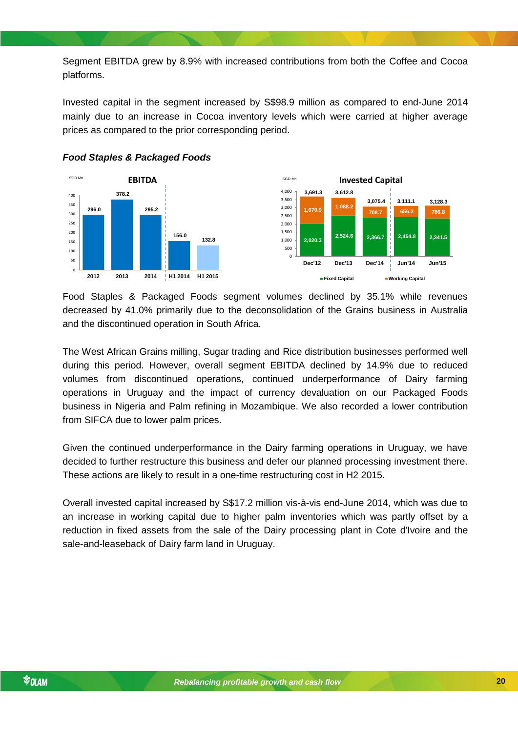Segment EBITDA grew by 8.9% with increased contributions from both the Coffee and Cocoa platforms.

Invested capital in the segment increased by S\$98.9 million as compared to end-June 2014 mainly due to an increase in Cocoa inventory levels which were carried at higher average prices as compared to the prior corresponding period.







Food Staples & Packaged Foods segment volumes declined by 35.1% while revenues decreased by 41.0% primarily due to the deconsolidation of the Grains business in Australia and the discontinued operation in South Africa.

The West African Grains milling, Sugar trading and Rice distribution businesses performed well during this period. However, overall segment EBITDA declined by 14.9% due to reduced volumes from discontinued operations, continued underperformance of Dairy farming operations in Uruguay and the impact of currency devaluation on our Packaged Foods business in Nigeria and Palm refining in Mozambique. We also recorded a lower contribution from SIFCA due to lower palm prices.

decided to further restructure this business and defer our planned processing investment there. Given the continued underperformance in the Dairy farming operations in Uruguay, we have These actions are likely to result in a one-time restructuring cost in H2 2015.

Overall invested capital increased by S\$17.2 million vis-à-vis end-June 2014, which was due to an increase in working capital due to higher palm inventories which was partly offset by a reduction in fixed assets from the sale of the Dairy processing plant in Cote d'Ivoire and the sale-and-leaseback of Dairy farm land in Uruguay.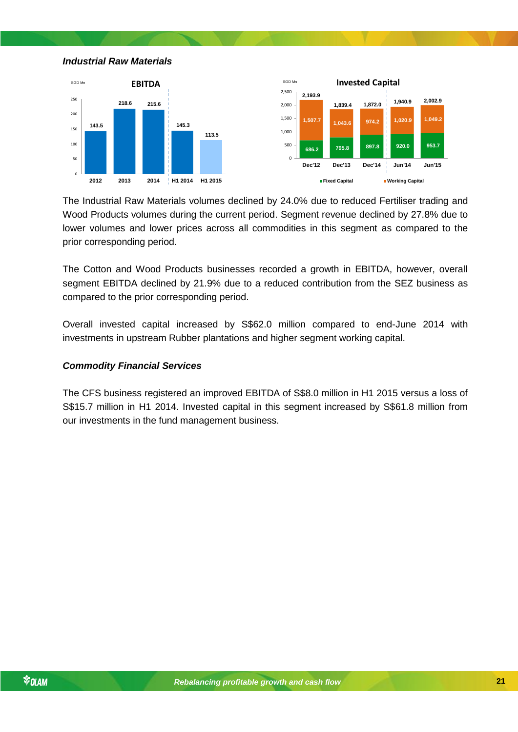*Industrial Raw Materials*





The Industrial Raw Materials volumes declined by 24.0% due to reduced Fertiliser trading and Wood Products volumes during the current period. Segment revenue declined by 27.8% due to lower volumes and lower prices across all commodities in this segment as compared to the prior corresponding period.

The Cotton and Wood Products businesses recorded a growth in EBITDA, however, overall segment EBITDA declined by 21.9% due to a reduced contribution from the SEZ business as compared to the prior corresponding period.

Overall invested capital increased by S\$62.0 million compared to end-June 2014 with investments in upstream Rubber plantations and higher segment working capital.

### *Commodity Financial Services*

The CFS business registered an improved EBITDA of S\$8.0 million in H1 2015 versus a loss of S\$15.7 million in H1 2014. Invested capital in this segment increased by S\$61.8 million from our investments in the fund management business.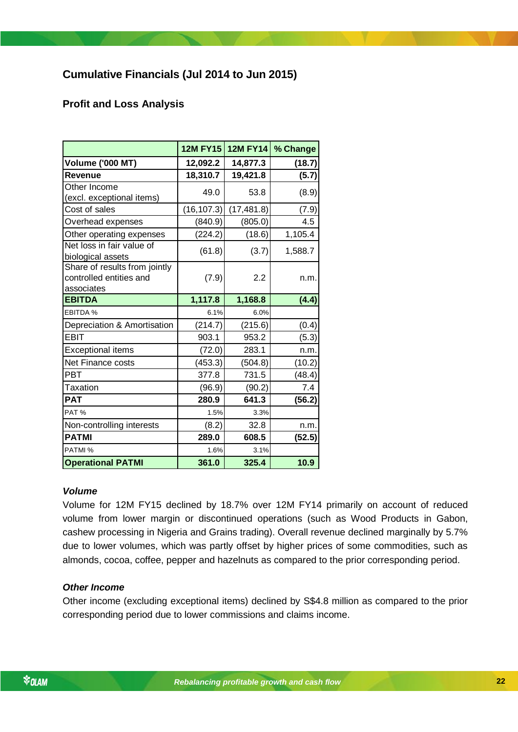## <span id="page-21-0"></span>**Cumulative Financials (Jul 2014 to Jun 2015)**

### <span id="page-21-1"></span>**Profit and Loss Analysis**

|                                                                        | <b>12M FY15</b> | <b>12M FY14</b> | % Change |
|------------------------------------------------------------------------|-----------------|-----------------|----------|
| <b>Volume ('000 MT)</b>                                                | 12,092.2        | 14,877.3        | (18.7)   |
| <b>Revenue</b>                                                         | 18,310.7        | 19,421.8        | (5.7)    |
| Other Income<br>(excl. exceptional items)                              | 49.0            | 53.8            | (8.9)    |
| Cost of sales                                                          | (16, 107.3)     | (17, 481.8)     | (7.9)    |
| Overhead expenses                                                      | (840.9)         | (805.0)         | 4.5      |
| Other operating expenses                                               | (224.2)         | (18.6)          | 1,105.4  |
| Net loss in fair value of<br>biological assets                         | (61.8)          | (3.7)           | 1,588.7  |
| Share of results from jointly<br>controlled entities and<br>associates | (7.9)           | 2.2             | n.m.     |
| <b>EBITDA</b>                                                          | 1,117.8         | 1,168.8         | (4.4)    |
| EBITDA %                                                               | 6.1%            | 6.0%            |          |
| Depreciation & Amortisation                                            | (214.7)         | (215.6)         | (0.4)    |
| <b>EBIT</b>                                                            | 903.1           | 953.2           | (5.3)    |
| <b>Exceptional items</b>                                               | (72.0)          | 283.1           | n.m.     |
| Net Finance costs                                                      | (453.3)         | (504.8)         | (10.2)   |
| <b>PBT</b>                                                             | 377.8           | 731.5           | (48.4)   |
| Taxation                                                               | (96.9)          | (90.2)          | 7.4      |
| <b>PAT</b>                                                             | 280.9           | 641.3           | (56.2)   |
| PAT%                                                                   | 1.5%            | 3.3%            |          |
| Non-controlling interests                                              | (8.2)           | 32.8            | n.m.     |
| <b>PATMI</b>                                                           | 289.0           | 608.5           | (52.5)   |
| PATMI %                                                                | 1.6%            | 3.1%            |          |
| <b>Operational PATMI</b>                                               | 361.0           | 325.4           | 10.9     |

### *Volume*

Volume for 12M FY15 declined by 18.7% over 12M FY14 primarily on account of reduced volume from lower margin or discontinued operations (such as Wood Products in Gabon, cashew processing in Nigeria and Grains trading). Overall revenue declined marginally by 5.7% due to lower volumes, which was partly offset by higher prices of some commodities, such as almonds, cocoa, coffee, pepper and hazelnuts as compared to the prior corresponding period.

### *Other Income*

Other income (excluding exceptional items) declined by S\$4.8 million as compared to the prior corresponding period due to lower commissions and claims income.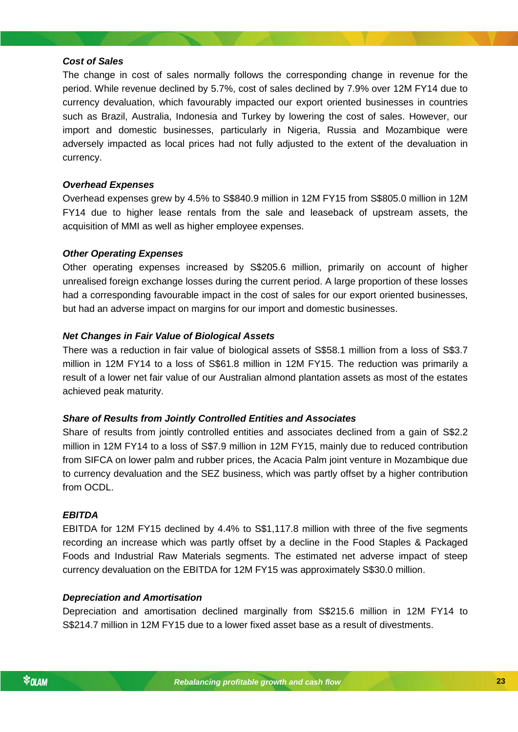#### *Cost of Sales*

The change in cost of sales normally follows the corresponding change in revenue for the period. While revenue declined by 5.7%, cost of sales declined by 7.9% over 12M FY14 due to currency devaluation, which favourably impacted our export oriented businesses in countries such as Brazil, Australia, Indonesia and Turkey by lowering the cost of sales. However, our import and domestic businesses, particularly in Nigeria, Russia and Mozambique were adversely impacted as local prices had not fully adjusted to the extent of the devaluation in currency.

### *Overhead Expenses*

Overhead expenses grew by 4.5% to S\$840.9 million in 12M FY15 from S\$805.0 million in 12M FY14 due to higher lease rentals from the sale and leaseback of upstream assets, the acquisition of MMI as well as higher employee expenses.

### *Other Operating Expenses*

Other operating expenses increased by S\$205.6 million, primarily on account of higher unrealised foreign exchange losses during the current period. A large proportion of these losses had a corresponding favourable impact in the cost of sales for our export oriented businesses, but had an adverse impact on margins for our import and domestic businesses.

### *Net Changes in Fair Value of Biological Assets*

There was a reduction in fair value of biological assets of S\$58.1 million from a loss of S\$3.7 million in 12M FY14 to a loss of S\$61.8 million in 12M FY15. The reduction was primarily a result of a lower net fair value of our Australian almond plantation assets as most of the estates achieved peak maturity.

### *Share of Results from Jointly Controlled Entities and Associates*

*Rebalancing profitable growth and cash flow* to currency devaluation and the SEZ business, which was partly offset by a higher contribution Share of results from jointly controlled entities and associates declined from a gain of S\$2.2 million in 12M FY14 to a loss of S\$7.9 million in 12M FY15, mainly due to reduced contribution from SIFCA on lower palm and rubber prices, the Acacia Palm joint venture in Mozambique due from OCDL.

#### *EBITDA*

EBITDA for 12M FY15 declined by 4.4% to S\$1,117.8 million with three of the five segments recording an increase which was partly offset by a decline in the Food Staples & Packaged Foods and Industrial Raw Materials segments. The estimated net adverse impact of steep currency devaluation on the EBITDA for 12M FY15 was approximately S\$30.0 million.

#### *Depreciation and Amortisation*

Depreciation and amortisation declined marginally from S\$215.6 million in 12M FY14 to S\$214.7 million in 12M FY15 due to a lower fixed asset base as a result of divestments.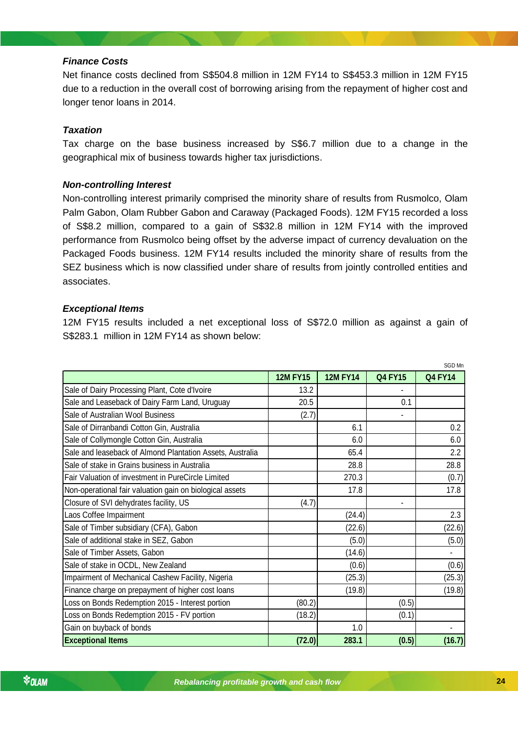### *Finance Costs*

Net finance costs declined from S\$504.8 million in 12M FY14 to S\$453.3 million in 12M FY15 due to a reduction in the overall cost of borrowing arising from the repayment of higher cost and longer tenor loans in 2014.

### *Taxation*

Tax charge on the base business increased by S\$6.7 million due to a change in the geographical mix of business towards higher tax jurisdictions.

### *Non-controlling Interest*

Non-controlling interest primarily comprised the minority share of results from Rusmolco, Olam Palm Gabon, Olam Rubber Gabon and Caraway (Packaged Foods). 12M FY15 recorded a loss of S\$8.2 million, compared to a gain of S\$32.8 million in 12M FY14 with the improved performance from Rusmolco being offset by the adverse impact of currency devaluation on the Packaged Foods business. 12M FY14 results included the minority share of results from the SEZ business which is now classified under share of results from jointly controlled entities and associates.

#### *Exceptional Items*

12M FY15 results included a net exceptional loss of S\$72.0 million as against a gain of S\$283.1 million in 12M FY14 as shown below:

|                                                           |                 |                 |                | SGD Mn         |
|-----------------------------------------------------------|-----------------|-----------------|----------------|----------------|
|                                                           | <b>12M FY15</b> | <b>12M FY14</b> | <b>Q4 FY15</b> | <b>Q4 FY14</b> |
| Sale of Dairy Processing Plant, Cote d'Ivoire             | 13.2            |                 |                |                |
| Sale and Leaseback of Dairy Farm Land, Uruguay            | 20.5            |                 | 0.1            |                |
| Sale of Australian Wool Business                          | (2.7)           |                 |                |                |
| Sale of Dirranbandi Cotton Gin, Australia                 |                 | 6.1             |                | 0.2            |
| Sale of Collymongle Cotton Gin, Australia                 |                 | 6.0             |                | 6.0            |
| Sale and leaseback of Almond Plantation Assets, Australia |                 | 65.4            |                | 2.2            |
| Sale of stake in Grains business in Australia             |                 | 28.8            |                | 28.8           |
| Fair Valuation of investment in PureCircle Limited        |                 | 270.3           |                | (0.7)          |
| Non-operational fair valuation gain on biological assets  |                 | 17.8            |                | 17.8           |
| Closure of SVI dehydrates facility, US                    | (4.7)           |                 | $\blacksquare$ |                |
| Laos Coffee Impairment                                    |                 | (24.4)          |                | 2.3            |
| Sale of Timber subsidiary (CFA), Gabon                    |                 | (22.6)          |                | (22.6)         |
| Sale of additional stake in SEZ, Gabon                    |                 | (5.0)           |                | (5.0)          |
| Sale of Timber Assets, Gabon                              |                 | (14.6)          |                | ٠              |
| Sale of stake in OCDL, New Zealand                        |                 | (0.6)           |                | (0.6)          |
| Impairment of Mechanical Cashew Facility, Nigeria         |                 | (25.3)          |                | (25.3)         |
| Finance charge on prepayment of higher cost loans         |                 | (19.8)          |                | (19.8)         |
| Loss on Bonds Redemption 2015 - Interest portion          | (80.2)          |                 | (0.5)          |                |
| Loss on Bonds Redemption 2015 - FV portion                | (18.2)          |                 | (0.1)          |                |
| Gain on buyback of bonds                                  |                 | 1.0             |                |                |
| <b>Exceptional Items</b>                                  | (72.0)          | 283.1           | (0.5)          | (16.7)         |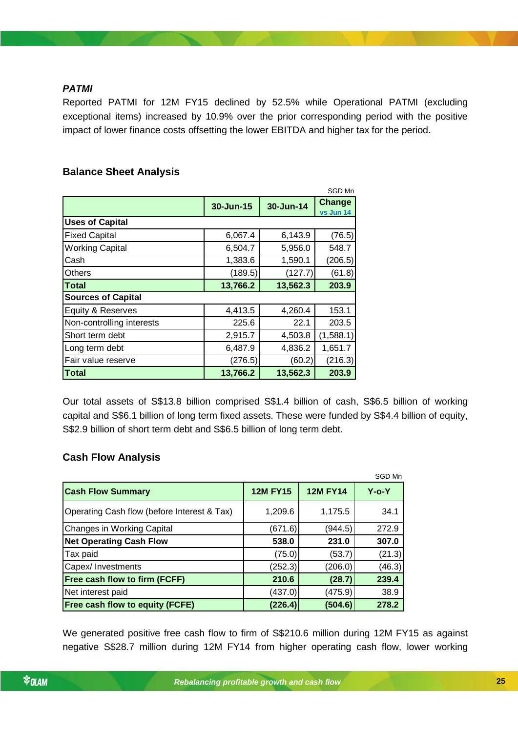### *PATMI*

Reported PATMI for 12M FY15 declined by 52.5% while Operational PATMI (excluding exceptional items) increased by 10.9% over the prior corresponding period with the positive impact of lower finance costs offsetting the lower EBITDA and higher tax for the period.

### <span id="page-24-0"></span>**Balance Sheet Analysis**

|                           |           |           | SGD Mn              |
|---------------------------|-----------|-----------|---------------------|
|                           | 30-Jun-15 | 30-Jun-14 | Change<br>vs Jun 14 |
| <b>Uses of Capital</b>    |           |           |                     |
| <b>Fixed Capital</b>      | 6,067.4   | 6,143.9   | (76.5)              |
| <b>Working Capital</b>    | 6,504.7   | 5,956.0   | 548.7               |
| Cash                      | 1,383.6   | 1,590.1   | (206.5)             |
| Others                    | (189.5)   | (127.7)   | (61.8)              |
| <b>Total</b>              | 13,766.2  | 13,562.3  | 203.9               |
| <b>Sources of Capital</b> |           |           |                     |
| Equity & Reserves         | 4,413.5   | 4,260.4   | 153.1               |
| Non-controlling interests | 225.6     | 22.1      | 203.5               |
| Short term debt           | 2,915.7   | 4,503.8   | (1,588.1)           |
| Long term debt            | 6,487.9   | 4,836.2   | 1,651.7             |
| Fair value reserve        | (276.5)   | (60.2)    | (216.3)             |
| <b>Total</b>              | 13,766.2  | 13,562.3  | 203.9               |

Our total assets of S\$13.8 billion comprised S\$1.4 billion of cash, S\$6.5 billion of working capital and S\$6.1 billion of long term fixed assets. These were funded by S\$4.4 billion of equity, S\$2.9 billion of short term debt and S\$6.5 billion of long term debt.

### <span id="page-24-1"></span>**Cash Flow Analysis**

|                                             |                 |                 | SGD Mn   |
|---------------------------------------------|-----------------|-----------------|----------|
| <b>Cash Flow Summary</b>                    | <b>12M FY15</b> | <b>12M FY14</b> | $Y$ -o-Y |
| Operating Cash flow (before Interest & Tax) | 1,209.6         | 1,175.5         | 34.1     |
| Changes in Working Capital                  | (671.6)         | (944.5)         | 272.9    |
| <b>Net Operating Cash Flow</b>              | 538.0           | 231.0           | 307.0    |
| Tax paid                                    | (75.0)          | (53.7)          | (21.3)   |
| Capex/ Investments                          | (252.3)         | (206.0)         | (46.3)   |
| <b>Free cash flow to firm (FCFF)</b>        | 210.6           | (28.7)          | 239.4    |
| Net interest paid                           | (437.0)         | (475.9)         | 38.9     |
| <b>Free cash flow to equity (FCFE)</b>      | (226.4)         | (504.6)         | 278.2    |

We generated positive free cash flow to firm of S\$210.6 million during 12M FY15 as against negative S\$28.7 million during 12M FY14 from higher operating cash flow, lower working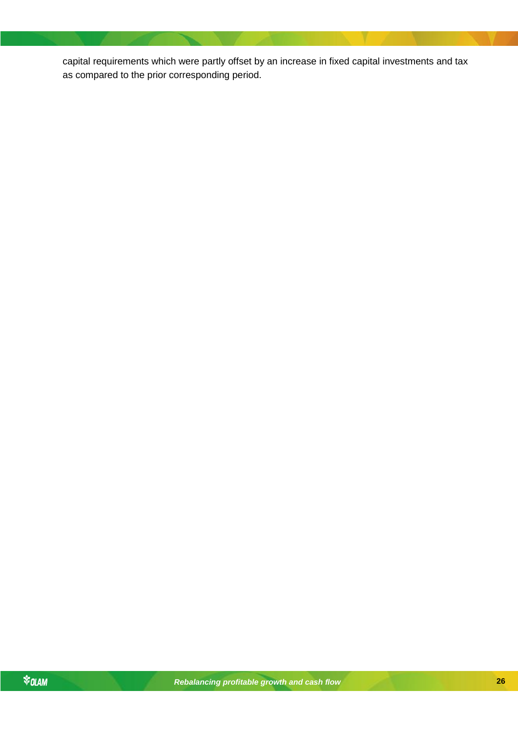capital requirements which were partly offset by an increase in fixed capital investments and tax as compared to the prior corresponding period.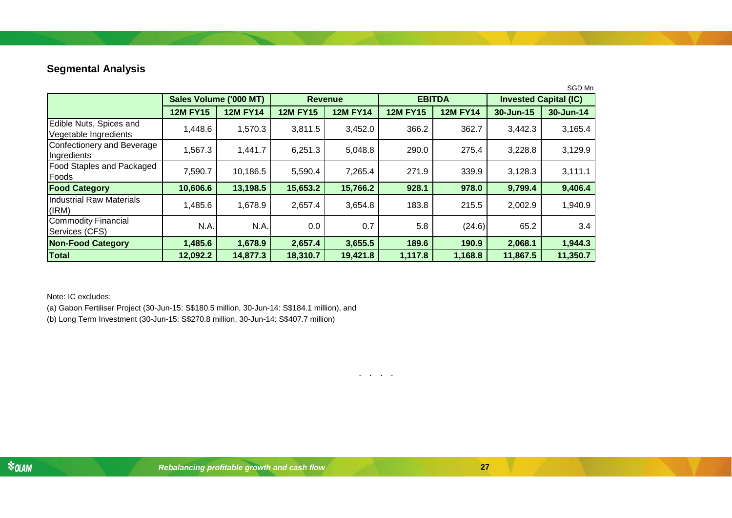## **Segmental Analysis**

| SGD Mn                                           |                        |                 |                 |                 |                 |                 |                              |           |
|--------------------------------------------------|------------------------|-----------------|-----------------|-----------------|-----------------|-----------------|------------------------------|-----------|
|                                                  | Sales Volume ('000 MT) |                 | <b>Revenue</b>  |                 | <b>EBITDA</b>   |                 | <b>Invested Capital (IC)</b> |           |
|                                                  | <b>12M FY15</b>        | <b>12M FY14</b> | <b>12M FY15</b> | <b>12M FY14</b> | <b>12M FY15</b> | <b>12M FY14</b> | 30-Jun-15                    | 30-Jun-14 |
| Edible Nuts, Spices and<br>Vegetable Ingredients | 1,448.6                | 1,570.3         | 3,811.5         | 3,452.0         | 366.2           | 362.7           | 3,442.3                      | 3,165.4   |
| Confectionery and Beverage<br>Ingredients        | 1,567.3                | 1,441.7         | 6,251.3         | 5,048.8         | 290.0           | 275.4           | 3,228.8                      | 3,129.9   |
| <b>Food Staples and Packaged</b><br>Foods        | 7,590.7                | 10,186.5        | 5,590.4         | 7,265.4         | 271.9           | 339.9           | 3,128.3                      | 3,111.1   |
| <b>Food Category</b>                             | 10,606.6               | 13,198.5        | 15,653.2        | 15,766.2        | 928.1           | 978.0           | 9,799.4                      | 9,406.4   |
| <b>Industrial Raw Materials</b><br>(IRM)         | 1,485.6                | 1,678.9         | 2,657.4         | 3,654.8         | 183.8           | 215.5           | 2,002.9                      | 1,940.9   |
| <b>Commodity Financial</b><br>Services (CFS)     | N.A.                   | N.A.            | 0.0             | 0.7             | 5.8             | (24.6)          | 65.2                         | 3.4       |
| <b>Non-Food Category</b>                         | 1,485.6                | 1,678.9         | 2,657.4         | 3,655.5         | 189.6           | 190.9           | 2,068.1                      | 1,944.3   |
| <b>Total</b>                                     | 12,092.2               | 14,877.3        | 18,310.7        | 19,421.8        | 1,117.8         | 1,168.8         | 11,867.5                     | 11,350.7  |

. . . .

<span id="page-26-0"></span>Note: IC excludes:

(a) Gabon Fertiliser Project (30-Jun-15: S\$180.5 million, 30-Jun-14: S\$184.1 million), and (b) Long Term Investment (30-Jun-15: S\$270.8 million, 30-Jun-14: S\$407.7 million)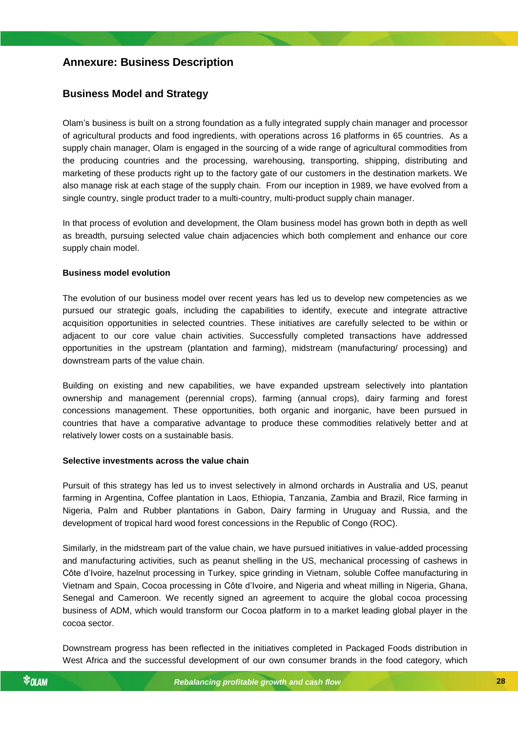### <span id="page-27-0"></span>**Annexure: Business Description**

### <span id="page-27-1"></span>**Business Model and Strategy**

Olam's business is built on a strong foundation as a fully integrated supply chain manager and processor of agricultural products and food ingredients, with operations across 16 platforms in 65 countries. As a supply chain manager, Olam is engaged in the sourcing of a wide range of agricultural commodities from the producing countries and the processing, warehousing, transporting, shipping, distributing and marketing of these products right up to the factory gate of our customers in the destination markets. We also manage risk at each stage of the supply chain. From our inception in 1989, we have evolved from a single country, single product trader to a multi-country, multi-product supply chain manager.

In that process of evolution and development, the Olam business model has grown both in depth as well as breadth, pursuing selected value chain adjacencies which both complement and enhance our core supply chain model.

#### **Business model evolution**

The evolution of our business model over recent years has led us to develop new competencies as we pursued our strategic goals, including the capabilities to identify, execute and integrate attractive acquisition opportunities in selected countries. These initiatives are carefully selected to be within or adjacent to our core value chain activities. Successfully completed transactions have addressed opportunities in the upstream (plantation and farming), midstream (manufacturing/ processing) and downstream parts of the value chain.

Building on existing and new capabilities, we have expanded upstream selectively into plantation ownership and management (perennial crops), farming (annual crops), dairy farming and forest concessions management. These opportunities, both organic and inorganic, have been pursued in countries that have a comparative advantage to produce these commodities relatively better and at relatively lower costs on a sustainable basis.

#### *Rebalancing profitable growth and cash flow* **Selective investments across the value chain**

Pursuit of this strategy has led us to invest selectively in almond orchards in Australia and US, peanut farming in Argentina, Coffee plantation in Laos, Ethiopia, Tanzania, Zambia and Brazil, Rice farming in Nigeria, Palm and Rubber plantations in Gabon, Dairy farming in Uruguay and Russia, and the development of tropical hard wood forest concessions in the Republic of Congo (ROC).

Similarly, in the midstream part of the value chain, we have pursued initiatives in value-added processing and manufacturing activities, such as peanut shelling in the US, mechanical processing of cashews in Côte d'Ivoire, hazelnut processing in Turkey, spice grinding in Vietnam, soluble Coffee manufacturing in Vietnam and Spain, Cocoa processing in Côte d'Ivoire, and Nigeria and wheat milling in Nigeria, Ghana, Senegal and Cameroon. We recently signed an agreement to acquire the global cocoa processing business of ADM, which would transform our Cocoa platform in to a market leading global player in the cocoa sector.

Downstream progress has been reflected in the initiatives completed in Packaged Foods distribution in West Africa and the successful development of our own consumer brands in the food category, which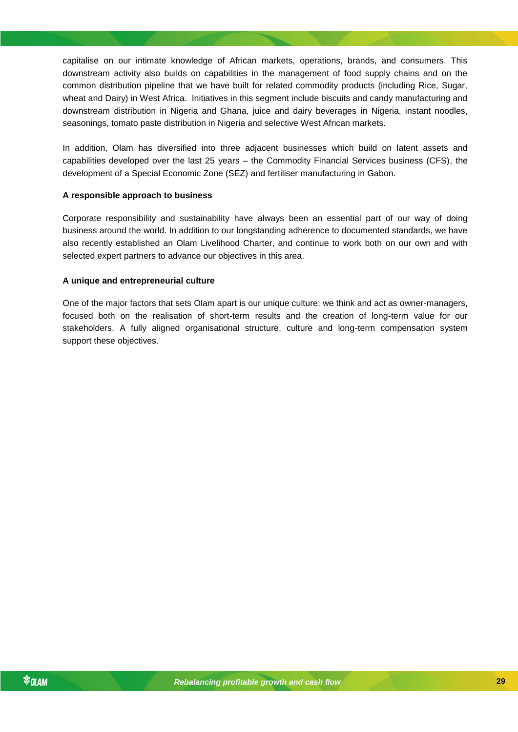capitalise on our intimate knowledge of African markets, operations, brands, and consumers. This downstream activity also builds on capabilities in the management of food supply chains and on the common distribution pipeline that we have built for related commodity products (including Rice, Sugar, wheat and Dairy) in West Africa. Initiatives in this segment include biscuits and candy manufacturing and downstream distribution in Nigeria and Ghana, juice and dairy beverages in Nigeria, instant noodles, seasonings, tomato paste distribution in Nigeria and selective West African markets.

In addition, Olam has diversified into three adjacent businesses which build on latent assets and capabilities developed over the last 25 years – the Commodity Financial Services business (CFS), the development of a Special Economic Zone (SEZ) and fertiliser manufacturing in Gabon.

#### **A responsible approach to business**

Corporate responsibility and sustainability have always been an essential part of our way of doing business around the world. In addition to our longstanding adherence to documented standards, we have also recently established an Olam Livelihood Charter, and continue to work both on our own and with selected expert partners to advance our objectives in this area.

#### **A unique and entrepreneurial culture**

One of the major factors that sets Olam apart is our unique culture: we think and act as owner-managers, focused both on the realisation of short-term results and the creation of long-term value for our stakeholders. A fully aligned organisational structure, culture and long-term compensation system support these objectives.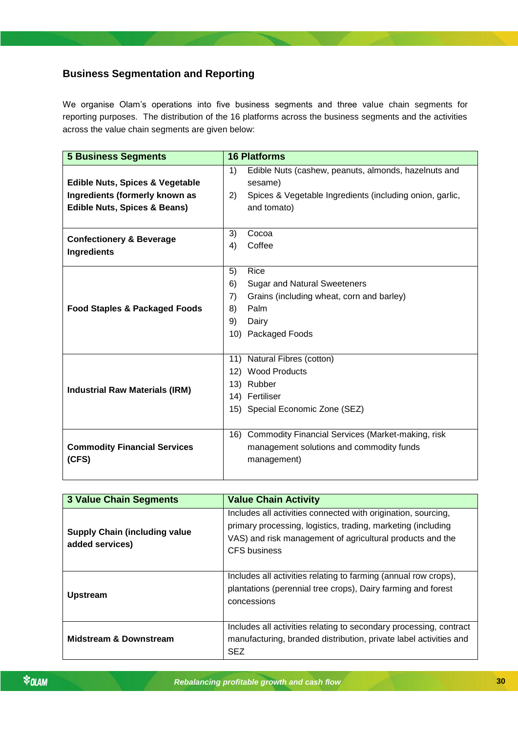## <span id="page-29-0"></span>**Business Segmentation and Reporting**

We organise Olam's operations into five business segments and three value chain segments for reporting purposes. The distribution of the 16 platforms across the business segments and the activities across the value chain segments are given below:

| <b>5 Business Segments</b>                 | <b>16 Platforms</b> |                                                          |  |
|--------------------------------------------|---------------------|----------------------------------------------------------|--|
|                                            | 1)                  | Edible Nuts (cashew, peanuts, almonds, hazelnuts and     |  |
| <b>Edible Nuts, Spices &amp; Vegetable</b> |                     | sesame)                                                  |  |
| Ingredients (formerly known as             | 2)                  | Spices & Vegetable Ingredients (including onion, garlic, |  |
| <b>Edible Nuts, Spices &amp; Beans)</b>    |                     | and tomato)                                              |  |
|                                            |                     |                                                          |  |
| <b>Confectionery &amp; Beverage</b>        | 3)                  | Cocoa                                                    |  |
| Ingredients                                | 4)                  | Coffee                                                   |  |
|                                            |                     |                                                          |  |
|                                            | 5)                  | Rice                                                     |  |
|                                            | 6)                  | <b>Sugar and Natural Sweeteners</b>                      |  |
|                                            | 7)                  | Grains (including wheat, corn and barley)                |  |
| <b>Food Staples &amp; Packaged Foods</b>   | 8)                  | Palm                                                     |  |
|                                            | 9)                  | Dairy                                                    |  |
|                                            |                     | 10) Packaged Foods                                       |  |
|                                            |                     |                                                          |  |
|                                            |                     | 11) Natural Fibres (cotton)                              |  |
|                                            |                     | 12) Wood Products                                        |  |
| <b>Industrial Raw Materials (IRM)</b>      |                     | 13) Rubber                                               |  |
|                                            |                     | 14) Fertiliser                                           |  |
|                                            |                     | 15) Special Economic Zone (SEZ)                          |  |
|                                            |                     |                                                          |  |
|                                            |                     | 16) Commodity Financial Services (Market-making, risk    |  |
| <b>Commodity Financial Services</b>        |                     | management solutions and commodity funds                 |  |
| (CFS)                                      |                     | management)                                              |  |
|                                            |                     |                                                          |  |

| <b>3 Value Chain Segments</b>                           | <b>Value Chain Activity</b>                                                                                                                                                                                |
|---------------------------------------------------------|------------------------------------------------------------------------------------------------------------------------------------------------------------------------------------------------------------|
| <b>Supply Chain (including value</b><br>added services) | Includes all activities connected with origination, sourcing,<br>primary processing, logistics, trading, marketing (including<br>VAS) and risk management of agricultural products and the<br>CFS business |
| <b>Upstream</b>                                         | Includes all activities relating to farming (annual row crops),<br>plantations (perennial tree crops), Dairy farming and forest<br>concessions                                                             |
| <b>Midstream &amp; Downstream</b>                       | Includes all activities relating to secondary processing, contract<br>manufacturing, branded distribution, private label activities and<br><b>SEZ</b>                                                      |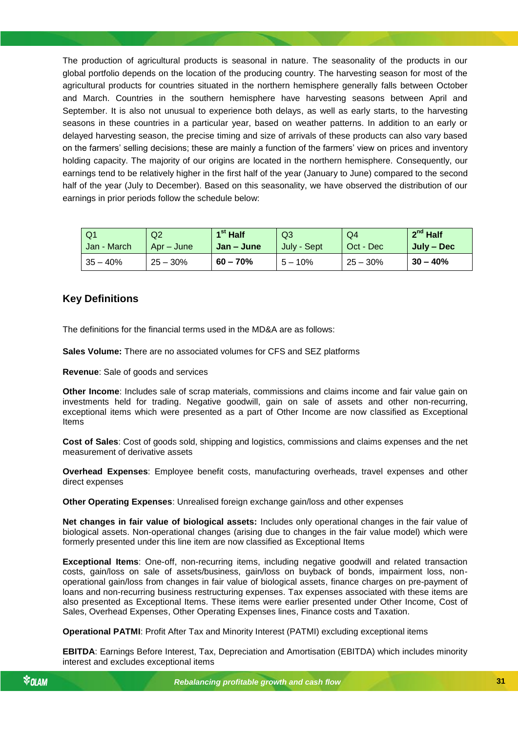The production of agricultural products is seasonal in nature. The seasonality of the products in our global portfolio depends on the location of the producing country. The harvesting season for most of the agricultural products for countries situated in the northern hemisphere generally falls between October and March. Countries in the southern hemisphere have harvesting seasons between April and September. It is also not unusual to experience both delays, as well as early starts, to the harvesting seasons in these countries in a particular year, based on weather patterns. In addition to an early or delayed harvesting season, the precise timing and size of arrivals of these products can also vary based on the farmers' selling decisions; these are mainly a function of the farmers' view on prices and inventory holding capacity. The majority of our origins are located in the northern hemisphere. Consequently, our earnings tend to be relatively higher in the first half of the year (January to June) compared to the second half of the year (July to December). Based on this seasonality, we have observed the distribution of our earnings in prior periods follow the schedule below:

| Q1          | Q2         | $1st$ Half | Q3          | Q4         | $2^{nd}$ Half |
|-------------|------------|------------|-------------|------------|---------------|
| Jan - March | Apr – June | Jan – June | July - Sept | Oct - Dec  | July – Dec    |
| $35 - 40%$  | $25 - 30%$ | $60 - 70%$ | $5 - 10%$   | $25 - 30%$ | $30 - 40%$    |

### <span id="page-30-0"></span>**Key Definitions**

The definitions for the financial terms used in the MD&A are as follows:

**Sales Volume:** There are no associated volumes for CFS and SEZ platforms

**Revenue**: Sale of goods and services

**Other Income**: Includes sale of scrap materials, commissions and claims income and fair value gain on investments held for trading. Negative goodwill, gain on sale of assets and other non-recurring, exceptional items which were presented as a part of Other Income are now classified as Exceptional Items

**Cost of Sales**: Cost of goods sold, shipping and logistics, commissions and claims expenses and the net measurement of derivative assets

**Overhead Expenses**: Employee benefit costs, manufacturing overheads, travel expenses and other direct expenses

**Other Operating Expenses**: Unrealised foreign exchange gain/loss and other expenses

**Net changes in fair value of biological assets:** Includes only operational changes in the fair value of biological assets. Non-operational changes (arising due to changes in the fair value model) which were formerly presented under this line item are now classified as Exceptional Items

**Exceptional Items**: One-off, non-recurring items, including negative goodwill and related transaction costs, gain/loss on sale of assets/business, gain/loss on buyback of bonds, impairment loss, nonoperational gain/loss from changes in fair value of biological assets, finance charges on pre-payment of loans and non-recurring business restructuring expenses. Tax expenses associated with these items are also presented as Exceptional Items. These items were earlier presented under Other Income, Cost of Sales, Overhead Expenses, Other Operating Expenses lines, Finance costs and Taxation.

**Operational PATMI**: Profit After Tax and Minority Interest (PATMI) excluding exceptional items

**EBITDA**: Earnings Before Interest, Tax, Depreciation and Amortisation (EBITDA) which includes minority interest and excludes exceptional items